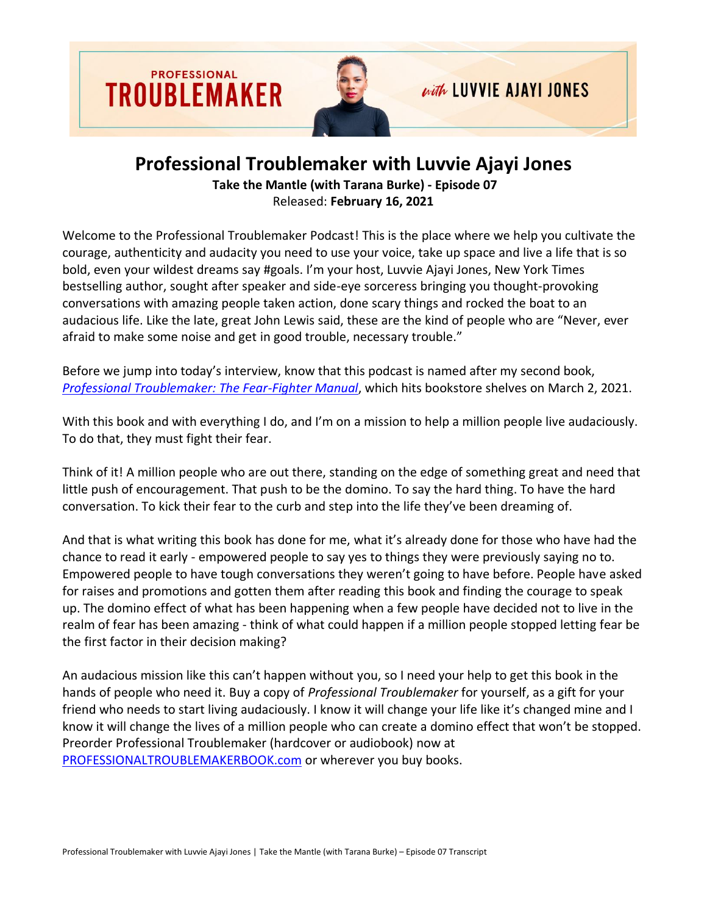

## **Professional Troublemaker with Luvvie Ajayi Jones**

**Take the Mantle (with Tarana Burke) - Episode 07** Released: **February 16, 2021**

Welcome to the Professional Troublemaker Podcast! This is the place where we help you cultivate the courage, authenticity and audacity you need to use your voice, take up space and live a life that is so bold, even your wildest dreams say #goals. I'm your host, Luvvie Ajayi Jones, New York Times bestselling author, sought after speaker and side-eye sorceress bringing you thought-provoking conversations with amazing people taken action, done scary things and rocked the boat to an audacious life. Like the late, great John Lewis said, these are the kind of people who are "Never, ever afraid to make some noise and get in good trouble, necessary trouble."

Before we jump into today's interview, know that this podcast is named after my second book, *[Professional Troublemaker: The Fear-Fighter Manual](https://professionaltroublemakerbook.com/)*, which hits bookstore shelves on March 2, 2021.

With this book and with everything I do, and I'm on a mission to help a million people live audaciously. To do that, they must fight their fear.

Think of it! A million people who are out there, standing on the edge of something great and need that little push of encouragement. That push to be the domino. To say the hard thing. To have the hard conversation. To kick their fear to the curb and step into the life they've been dreaming of.

And that is what writing this book has done for me, what it's already done for those who have had the chance to read it early - empowered people to say yes to things they were previously saying no to. Empowered people to have tough conversations they weren't going to have before. People have asked for raises and promotions and gotten them after reading this book and finding the courage to speak up. The domino effect of what has been happening when a few people have decided not to live in the realm of fear has been amazing - think of what could happen if a million people stopped letting fear be the first factor in their decision making?

An audacious mission like this can't happen without you, so I need your help to get this book in the hands of people who need it. Buy a copy of *Professional Troublemaker* for yourself, as a gift for your friend who needs to start living audaciously. I know it will change your life like it's changed mine and I know it will change the lives of a million people who can create a domino effect that won't be stopped. Preorder Professional Troublemaker (hardcover or audiobook) now at [PROFESSIONALTROUBLEMAKERBOOK.com](https://professionaltroublemakerbook.com/) or wherever you buy books.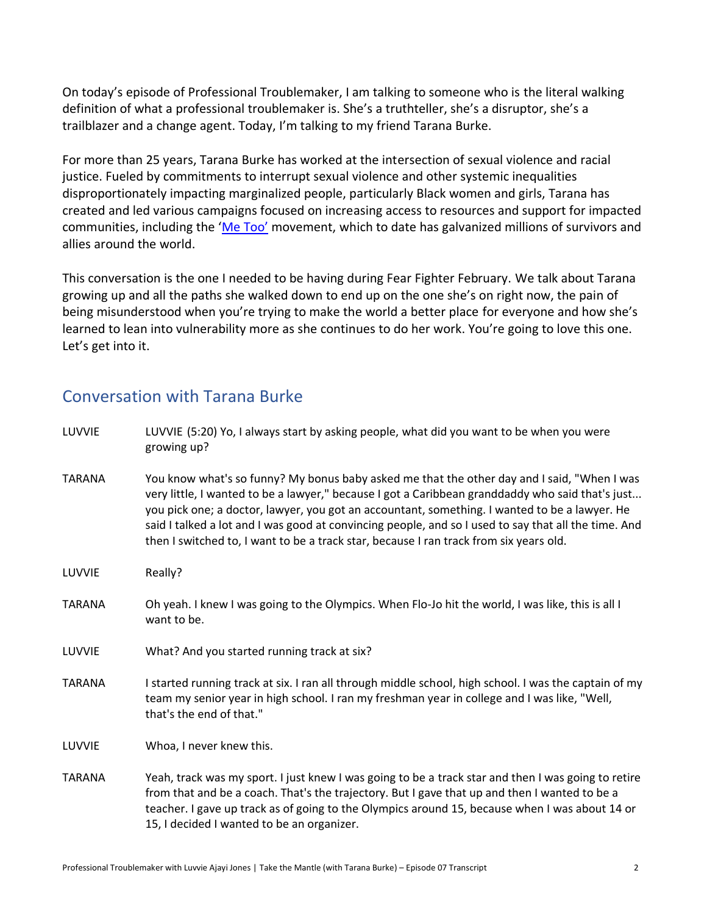On today's episode of Professional Troublemaker, I am talking to someone who is the literal walking definition of what a professional troublemaker is. She's a truthteller, she's a disruptor, she's a trailblazer and a change agent. Today, I'm talking to my friend Tarana Burke.

For more than 25 years, Tarana Burke has worked at the intersection of sexual violence and racial justice. Fueled by commitments to interrupt sexual violence and other systemic inequalities disproportionately impacting marginalized people, particularly Black women and girls, Tarana has created and led various campaigns focused on increasing access to resources and support for impacted communities, including the '[Me T](https://metoomvmt.org/)oo' movement, which to date has galvanized millions of survivors and allies around the world.

This conversation is the one I needed to be having during Fear Fighter February. We talk about Tarana growing up and all the paths she walked down to end up on the one she's on right now, the pain of being misunderstood when you're trying to make the world a better place for everyone and how she's learned to lean into vulnerability more as she continues to do her work. You're going to love this one. Let's get into it.

## Conversation with Tarana Burke

| LUVVIE        | LUVVIE (5:20) Yo, I always start by asking people, what did you want to be when you were<br>growing up?                                                                                                                                                                                                                                                                                                                                                                                            |
|---------------|----------------------------------------------------------------------------------------------------------------------------------------------------------------------------------------------------------------------------------------------------------------------------------------------------------------------------------------------------------------------------------------------------------------------------------------------------------------------------------------------------|
| <b>TARANA</b> | You know what's so funny? My bonus baby asked me that the other day and I said, "When I was<br>very little, I wanted to be a lawyer," because I got a Caribbean granddaddy who said that's just<br>you pick one; a doctor, lawyer, you got an accountant, something. I wanted to be a lawyer. He<br>said I talked a lot and I was good at convincing people, and so I used to say that all the time. And<br>then I switched to, I want to be a track star, because I ran track from six years old. |
| LUVVIE        | Really?                                                                                                                                                                                                                                                                                                                                                                                                                                                                                            |
| <b>TARANA</b> | Oh yeah. I knew I was going to the Olympics. When Flo-Jo hit the world, I was like, this is all I<br>want to be.                                                                                                                                                                                                                                                                                                                                                                                   |
| LUVVIE        | What? And you started running track at six?                                                                                                                                                                                                                                                                                                                                                                                                                                                        |
| <b>TARANA</b> | I started running track at six. I ran all through middle school, high school. I was the captain of my<br>team my senior year in high school. I ran my freshman year in college and I was like, "Well,<br>that's the end of that."                                                                                                                                                                                                                                                                  |
| LUVVIE        | Whoa, I never knew this.                                                                                                                                                                                                                                                                                                                                                                                                                                                                           |
| <b>TARANA</b> | Yeah, track was my sport. I just knew I was going to be a track star and then I was going to retire<br>from that and be a coach. That's the trajectory. But I gave that up and then I wanted to be a<br>teacher. I gave up track as of going to the Olympics around 15, because when I was about 14 or<br>15, I decided I wanted to be an organizer.                                                                                                                                               |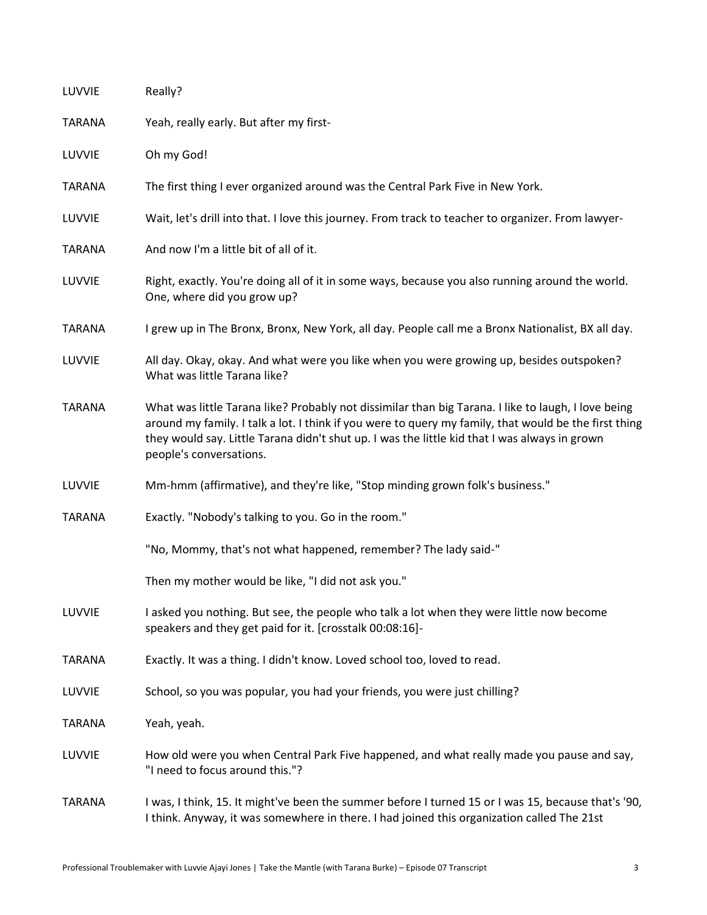| LUVVIE        | Really?                                                                                                                                                                                                                                                                                                                                  |
|---------------|------------------------------------------------------------------------------------------------------------------------------------------------------------------------------------------------------------------------------------------------------------------------------------------------------------------------------------------|
| <b>TARANA</b> | Yeah, really early. But after my first-                                                                                                                                                                                                                                                                                                  |
| LUVVIE        | Oh my God!                                                                                                                                                                                                                                                                                                                               |
| <b>TARANA</b> | The first thing I ever organized around was the Central Park Five in New York.                                                                                                                                                                                                                                                           |
| LUVVIE        | Wait, let's drill into that. I love this journey. From track to teacher to organizer. From lawyer-                                                                                                                                                                                                                                       |
| <b>TARANA</b> | And now I'm a little bit of all of it.                                                                                                                                                                                                                                                                                                   |
| LUVVIE        | Right, exactly. You're doing all of it in some ways, because you also running around the world.<br>One, where did you grow up?                                                                                                                                                                                                           |
| <b>TARANA</b> | I grew up in The Bronx, Bronx, New York, all day. People call me a Bronx Nationalist, BX all day.                                                                                                                                                                                                                                        |
| LUVVIE        | All day. Okay, okay. And what were you like when you were growing up, besides outspoken?<br>What was little Tarana like?                                                                                                                                                                                                                 |
| <b>TARANA</b> | What was little Tarana like? Probably not dissimilar than big Tarana. I like to laugh, I love being<br>around my family. I talk a lot. I think if you were to query my family, that would be the first thing<br>they would say. Little Tarana didn't shut up. I was the little kid that I was always in grown<br>people's conversations. |
| LUVVIE        | Mm-hmm (affirmative), and they're like, "Stop minding grown folk's business."                                                                                                                                                                                                                                                            |
| <b>TARANA</b> | Exactly. "Nobody's talking to you. Go in the room."                                                                                                                                                                                                                                                                                      |
|               | "No, Mommy, that's not what happened, remember? The lady said-"                                                                                                                                                                                                                                                                          |
|               | Then my mother would be like, "I did not ask you."                                                                                                                                                                                                                                                                                       |
| LUVVIE        | I asked you nothing. But see, the people who talk a lot when they were little now become<br>speakers and they get paid for it. [crosstalk 00:08:16]-                                                                                                                                                                                     |
| <b>TARANA</b> | Exactly. It was a thing. I didn't know. Loved school too, loved to read.                                                                                                                                                                                                                                                                 |
| LUVVIE        | School, so you was popular, you had your friends, you were just chilling?                                                                                                                                                                                                                                                                |
| <b>TARANA</b> | Yeah, yeah.                                                                                                                                                                                                                                                                                                                              |
| LUVVIE        | How old were you when Central Park Five happened, and what really made you pause and say,<br>"I need to focus around this."?                                                                                                                                                                                                             |
| <b>TARANA</b> | I was, I think, 15. It might've been the summer before I turned 15 or I was 15, because that's '90,<br>I think. Anyway, it was somewhere in there. I had joined this organization called The 21st                                                                                                                                        |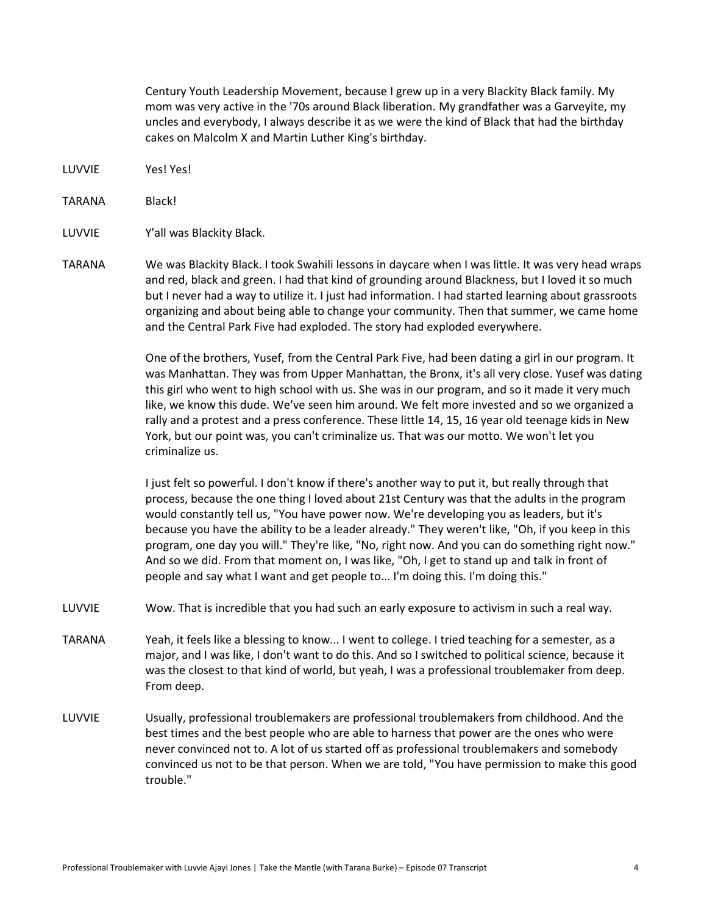Century Youth Leadership Movement, because I grew up in a very Blackity Black family. My mom was very active in the '70s around Black liberation. My grandfather was a Garveyite, my uncles and everybody, I always describe it as we were the kind of Black that had the birthday cakes on Malcolm X and Martin Luther King's birthday.

LUVVIE Yes! Yes!

TARANA Black!

LUVVIE Y'all was Blackity Black.

TARANA We was Blackity Black. I took Swahili lessons in daycare when I was little. It was very head wraps and red, black and green. I had that kind of grounding around Blackness, but I loved it so much but I never had a way to utilize it. I just had information. I had started learning about grassroots organizing and about being able to change your community. Then that summer, we came home and the Central Park Five had exploded. The story had exploded everywhere.

> One of the brothers, Yusef, from the Central Park Five, had been dating a girl in our program. It was Manhattan. They was from Upper Manhattan, the Bronx, it's all very close. Yusef was dating this girl who went to high school with us. She was in our program, and so it made it very much like, we know this dude. We've seen him around. We felt more invested and so we organized a rally and a protest and a press conference. These little 14, 15, 16 year old teenage kids in New York, but our point was, you can't criminalize us. That was our motto. We won't let you criminalize us.

I just felt so powerful. I don't know if there's another way to put it, but really through that process, because the one thing I loved about 21st Century was that the adults in the program would constantly tell us, "You have power now. We're developing you as leaders, but it's because you have the ability to be a leader already." They weren't like, "Oh, if you keep in this program, one day you will." They're like, "No, right now. And you can do something right now." And so we did. From that moment on, I was like, "Oh, I get to stand up and talk in front of people and say what I want and get people to... I'm doing this. I'm doing this."

LUVVIE Wow. That is incredible that you had such an early exposure to activism in such a real way.

- TARANA Yeah, it feels like a blessing to know... I went to college. I tried teaching for a semester, as a major, and I was like, I don't want to do this. And so I switched to political science, because it was the closest to that kind of world, but yeah, I was a professional troublemaker from deep. From deep.
- LUVVIE Usually, professional troublemakers are professional troublemakers from childhood. And the best times and the best people who are able to harness that power are the ones who were never convinced not to. A lot of us started off as professional troublemakers and somebody convinced us not to be that person. When we are told, "You have permission to make this good trouble."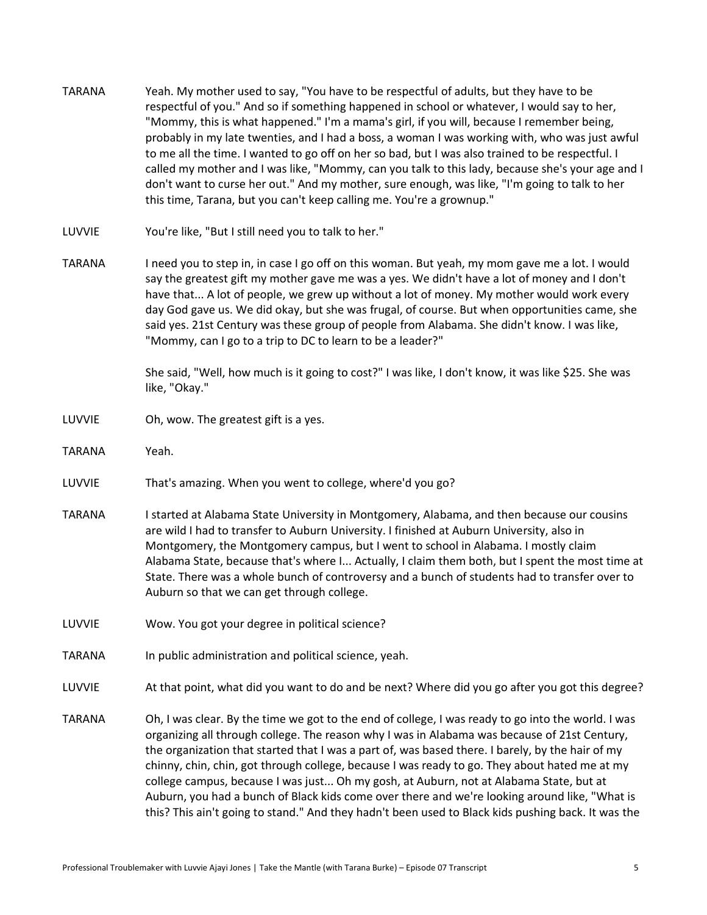TARANA Yeah. My mother used to say, "You have to be respectful of adults, but they have to be respectful of you." And so if something happened in school or whatever, I would say to her, "Mommy, this is what happened." I'm a mama's girl, if you will, because I remember being, probably in my late twenties, and I had a boss, a woman I was working with, who was just awful to me all the time. I wanted to go off on her so bad, but I was also trained to be respectful. I called my mother and I was like, "Mommy, can you talk to this lady, because she's your age and I don't want to curse her out." And my mother, sure enough, was like, "I'm going to talk to her this time, Tarana, but you can't keep calling me. You're a grownup." LUVVIE You're like, "But I still need you to talk to her." TARANA I need you to step in, in case I go off on this woman. But yeah, my mom gave me a lot. I would say the greatest gift my mother gave me was a yes. We didn't have a lot of money and I don't have that... A lot of people, we grew up without a lot of money. My mother would work every day God gave us. We did okay, but she was frugal, of course. But when opportunities came, she said yes. 21st Century was these group of people from Alabama. She didn't know. I was like, "Mommy, can I go to a trip to DC to learn to be a leader?" She said, "Well, how much is it going to cost?" I was like, I don't know, it was like \$25. She was like, "Okay." LUVVIE Oh, wow. The greatest gift is a yes. TARANA Yeah. LUVVIE That's amazing. When you went to college, where'd you go? TARANA Istarted at Alabama State University in Montgomery, Alabama, and then because our cousins are wild I had to transfer to Auburn University. I finished at Auburn University, also in Montgomery, the Montgomery campus, but I went to school in Alabama. I mostly claim Alabama State, because that's where I... Actually, I claim them both, but I spent the most time at State. There was a whole bunch of controversy and a bunch of students had to transfer over to Auburn so that we can get through college. LUVVIE Wow. You got your degree in political science? TARANA In public administration and political science, yeah. LUVVIE At that point, what did you want to do and be next? Where did you go after you got this degree? TARANA Oh, I was clear. By the time we got to the end of college, I was ready to go into the world. I was organizing all through college. The reason why I was in Alabama was because of 21st Century, the organization that started that I was a part of, was based there. I barely, by the hair of my chinny, chin, chin, got through college, because I was ready to go. They about hated me at my college campus, because I was just... Oh my gosh, at Auburn, not at Alabama State, but at Auburn, you had a bunch of Black kids come over there and we're looking around like, "What is this? This ain't going to stand." And they hadn't been used to Black kids pushing back. It was the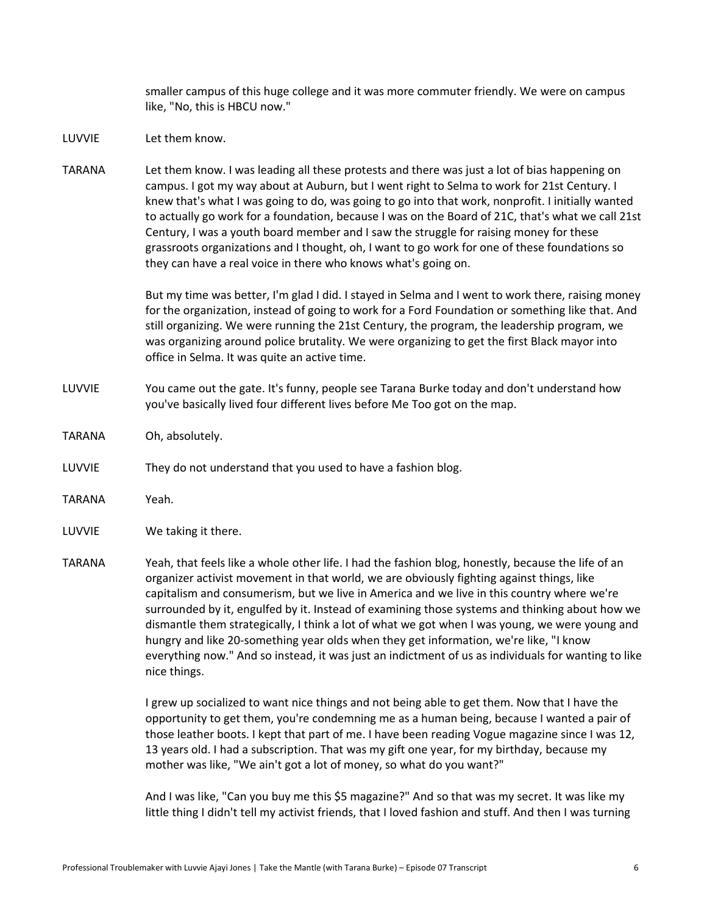smaller campus of this huge college and it was more commuter friendly. We were on campus like, "No, this is HBCU now."

- LUVVIE Let them know.
- TARANA Let them know. I was leading all these protests and there was just a lot of bias happening on campus. I got my way about at Auburn, but I went right to Selma to work for 21st Century. I knew that's what I was going to do, was going to go into that work, nonprofit. I initially wanted to actually go work for a foundation, because I was on the Board of 21C, that's what we call 21st Century, I was a youth board member and I saw the struggle for raising money for these grassroots organizations and I thought, oh, I want to go work for one of these foundations so they can have a real voice in there who knows what's going on.

But my time was better, I'm glad I did. I stayed in Selma and I went to work there, raising money for the organization, instead of going to work for a Ford Foundation or something like that. And still organizing. We were running the 21st Century, the program, the leadership program, we was organizing around police brutality. We were organizing to get the first Black mayor into office in Selma. It was quite an active time.

- LUVVIE You came out the gate. It's funny, people see Tarana Burke today and don't understand how you've basically lived four different lives before Me Too got on the map.
- TARANA Oh, absolutely.
- LUVVIE They do not understand that you used to have a fashion blog.
- TARANA Yeah.
- LUVVIE We taking it there.
- TARANA Yeah, that feels like a whole other life. I had the fashion blog, honestly, because the life of an organizer activist movement in that world, we are obviously fighting against things, like capitalism and consumerism, but we live in America and we live in this country where we're surrounded by it, engulfed by it. Instead of examining those systems and thinking about how we dismantle them strategically, I think a lot of what we got when I was young, we were young and hungry and like 20-something year olds when they get information, we're like, "I know everything now." And so instead, it was just an indictment of us as individuals for wanting to like nice things.

I grew up socialized to want nice things and not being able to get them. Now that I have the opportunity to get them, you're condemning me as a human being, because I wanted a pair of those leather boots. I kept that part of me. I have been reading Vogue magazine since I was 12, 13 years old. I had a subscription. That was my gift one year, for my birthday, because my mother was like, "We ain't got a lot of money, so what do you want?"

And I was like, "Can you buy me this \$5 magazine?" And so that was my secret. It was like my little thing I didn't tell my activist friends, that I loved fashion and stuff. And then I was turning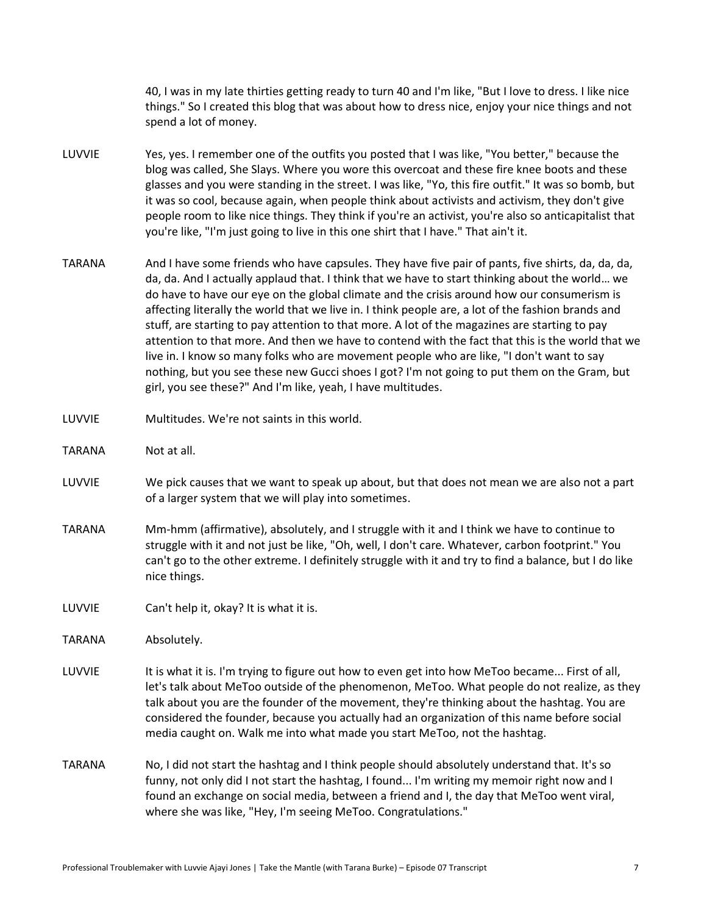40, I was in my late thirties getting ready to turn 40 and I'm like, "But I love to dress. I like nice things." So I created this blog that was about how to dress nice, enjoy your nice things and not spend a lot of money.

- LUVVIE Yes, yes. I remember one of the outfits you posted that I was like, "You better," because the blog was called, She Slays. Where you wore this overcoat and these fire knee boots and these glasses and you were standing in the street. I was like, "Yo, this fire outfit." It was so bomb, but it was so cool, because again, when people think about activists and activism, they don't give people room to like nice things. They think if you're an activist, you're also so anticapitalist that you're like, "I'm just going to live in this one shirt that I have." That ain't it.
- TARANA And I have some friends who have capsules. They have five pair of pants, five shirts, da, da, da, da, da. And I actually applaud that. I think that we have to start thinking about the world… we do have to have our eye on the global climate and the crisis around how our consumerism is affecting literally the world that we live in. I think people are, a lot of the fashion brands and stuff, are starting to pay attention to that more. A lot of the magazines are starting to pay attention to that more. And then we have to contend with the fact that this is the world that we live in. I know so many folks who are movement people who are like, "I don't want to say nothing, but you see these new Gucci shoes I got? I'm not going to put them on the Gram, but girl, you see these?" And I'm like, yeah, I have multitudes.
- LUVVIE Multitudes. We're not saints in this world.
- TARANA Not at all.
- LUVVIE We pick causes that we want to speak up about, but that does not mean we are also not a part of a larger system that we will play into sometimes.
- TARANA Mm-hmm (affirmative), absolutely, and I struggle with it and I think we have to continue to struggle with it and not just be like, "Oh, well, I don't care. Whatever, carbon footprint." You can't go to the other extreme. I definitely struggle with it and try to find a balance, but I do like nice things.
- LUVVIE Can't help it, okay? It is what it is.

TARANA Absolutely.

- LUVVIE It is what it is. I'm trying to figure out how to even get into how MeToo became... First of all, let's talk about MeToo outside of the phenomenon, MeToo. What people do not realize, as they talk about you are the founder of the movement, they're thinking about the hashtag. You are considered the founder, because you actually had an organization of this name before social media caught on. Walk me into what made you start MeToo, not the hashtag.
- TARANA No, I did not start the hashtag and I think people should absolutely understand that. It's so funny, not only did I not start the hashtag, I found... I'm writing my memoir right now and I found an exchange on social media, between a friend and I, the day that MeToo went viral, where she was like, "Hey, I'm seeing MeToo. Congratulations."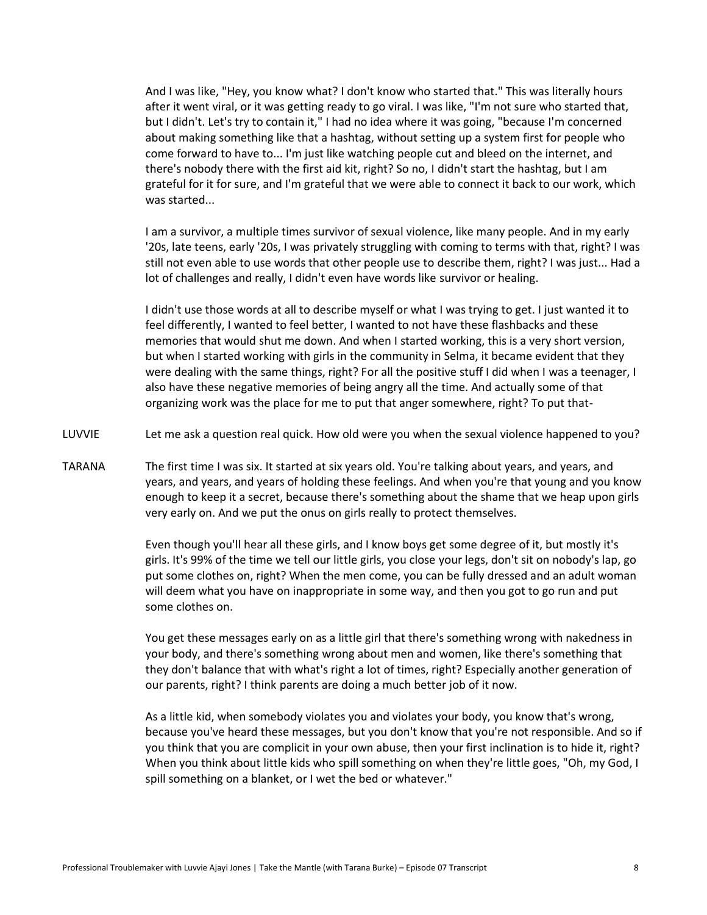And I was like, "Hey, you know what? I don't know who started that." This was literally hours after it went viral, or it was getting ready to go viral. I was like, "I'm not sure who started that, but I didn't. Let's try to contain it," I had no idea where it was going, "because I'm concerned about making something like that a hashtag, without setting up a system first for people who come forward to have to... I'm just like watching people cut and bleed on the internet, and there's nobody there with the first aid kit, right? So no, I didn't start the hashtag, but I am grateful for it for sure, and I'm grateful that we were able to connect it back to our work, which was started...

I am a survivor, a multiple times survivor of sexual violence, like many people. And in my early '20s, late teens, early '20s, I was privately struggling with coming to terms with that, right? I was still not even able to use words that other people use to describe them, right? I was just... Had a lot of challenges and really, I didn't even have words like survivor or healing.

I didn't use those words at all to describe myself or what I was trying to get. I just wanted it to feel differently, I wanted to feel better, I wanted to not have these flashbacks and these memories that would shut me down. And when I started working, this is a very short version, but when I started working with girls in the community in Selma, it became evident that they were dealing with the same things, right? For all the positive stuff I did when I was a teenager, I also have these negative memories of being angry all the time. And actually some of that organizing work was the place for me to put that anger somewhere, right? To put that-

- LUVVIE Let me ask a question real quick. How old were you when the sexual violence happened to you?
- TARANA The first time I was six. It started at six years old. You're talking about years, and years, and years, and years, and years of holding these feelings. And when you're that young and you know enough to keep it a secret, because there's something about the shame that we heap upon girls very early on. And we put the onus on girls really to protect themselves.

Even though you'll hear all these girls, and I know boys get some degree of it, but mostly it's girls. It's 99% of the time we tell our little girls, you close your legs, don't sit on nobody's lap, go put some clothes on, right? When the men come, you can be fully dressed and an adult woman will deem what you have on inappropriate in some way, and then you got to go run and put some clothes on.

You get these messages early on as a little girl that there's something wrong with nakedness in your body, and there's something wrong about men and women, like there's something that they don't balance that with what's right a lot of times, right? Especially another generation of our parents, right? I think parents are doing a much better job of it now.

As a little kid, when somebody violates you and violates your body, you know that's wrong, because you've heard these messages, but you don't know that you're not responsible. And so if you think that you are complicit in your own abuse, then your first inclination is to hide it, right? When you think about little kids who spill something on when they're little goes, "Oh, my God, I spill something on a blanket, or I wet the bed or whatever."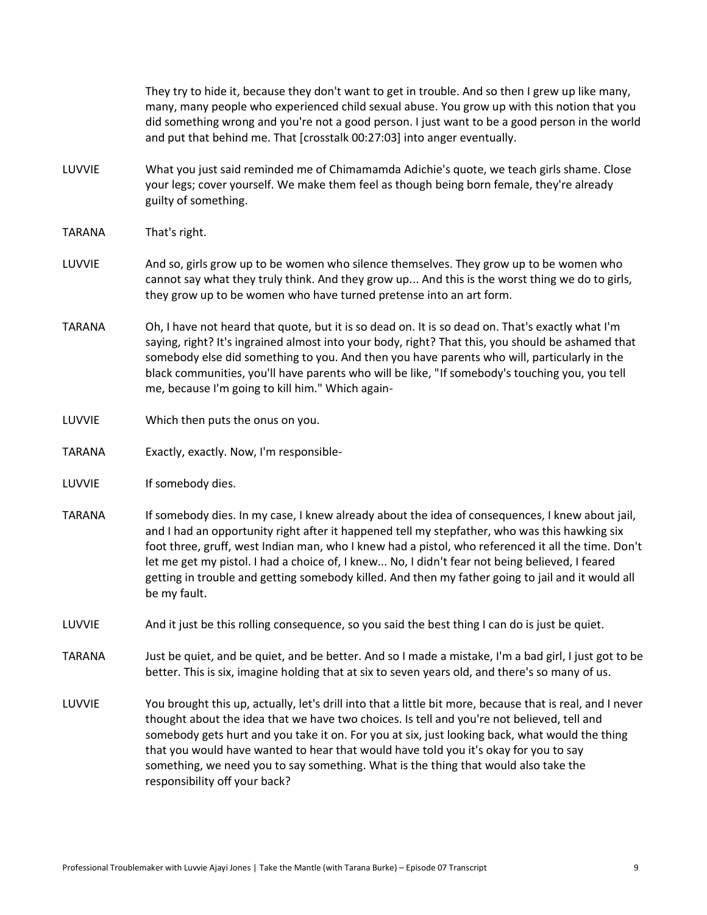|               | They try to hide it, because they don't want to get in trouble. And so then I grew up like many,<br>many, many people who experienced child sexual abuse. You grow up with this notion that you<br>did something wrong and you're not a good person. I just want to be a good person in the world<br>and put that behind me. That [crosstalk 00:27:03] into anger eventually.                                                                                                                                                 |
|---------------|-------------------------------------------------------------------------------------------------------------------------------------------------------------------------------------------------------------------------------------------------------------------------------------------------------------------------------------------------------------------------------------------------------------------------------------------------------------------------------------------------------------------------------|
| LUVVIE        | What you just said reminded me of Chimamamda Adichie's quote, we teach girls shame. Close<br>your legs; cover yourself. We make them feel as though being born female, they're already<br>guilty of something.                                                                                                                                                                                                                                                                                                                |
| <b>TARANA</b> | That's right.                                                                                                                                                                                                                                                                                                                                                                                                                                                                                                                 |
| LUVVIE        | And so, girls grow up to be women who silence themselves. They grow up to be women who<br>cannot say what they truly think. And they grow up And this is the worst thing we do to girls,<br>they grow up to be women who have turned pretense into an art form.                                                                                                                                                                                                                                                               |
| <b>TARANA</b> | Oh, I have not heard that quote, but it is so dead on. It is so dead on. That's exactly what I'm<br>saying, right? It's ingrained almost into your body, right? That this, you should be ashamed that<br>somebody else did something to you. And then you have parents who will, particularly in the<br>black communities, you'll have parents who will be like, "If somebody's touching you, you tell<br>me, because I'm going to kill him." Which again-                                                                    |
| LUVVIE        | Which then puts the onus on you.                                                                                                                                                                                                                                                                                                                                                                                                                                                                                              |
| <b>TARANA</b> | Exactly, exactly. Now, I'm responsible-                                                                                                                                                                                                                                                                                                                                                                                                                                                                                       |
| LUVVIE        | If somebody dies.                                                                                                                                                                                                                                                                                                                                                                                                                                                                                                             |
| <b>TARANA</b> | If somebody dies. In my case, I knew already about the idea of consequences, I knew about jail,<br>and I had an opportunity right after it happened tell my stepfather, who was this hawking six<br>foot three, gruff, west Indian man, who I knew had a pistol, who referenced it all the time. Don't<br>let me get my pistol. I had a choice of, I knew No, I didn't fear not being believed, I feared<br>getting in trouble and getting somebody killed. And then my father going to jail and it would all<br>be my fault. |
| LUVVIE        | And it just be this rolling consequence, so you said the best thing I can do is just be quiet.                                                                                                                                                                                                                                                                                                                                                                                                                                |
| <b>TARANA</b> | Just be quiet, and be quiet, and be better. And so I made a mistake, I'm a bad girl, I just got to be<br>better. This is six, imagine holding that at six to seven years old, and there's so many of us.                                                                                                                                                                                                                                                                                                                      |
| LUVVIE        | You brought this up, actually, let's drill into that a little bit more, because that is real, and I never<br>thought about the idea that we have two choices. Is tell and you're not believed, tell and<br>somebody gets hurt and you take it on. For you at six, just looking back, what would the thing<br>that you would have wanted to hear that would have told you it's okay for you to say<br>something, we need you to say something. What is the thing that would also take the<br>responsibility off your back?     |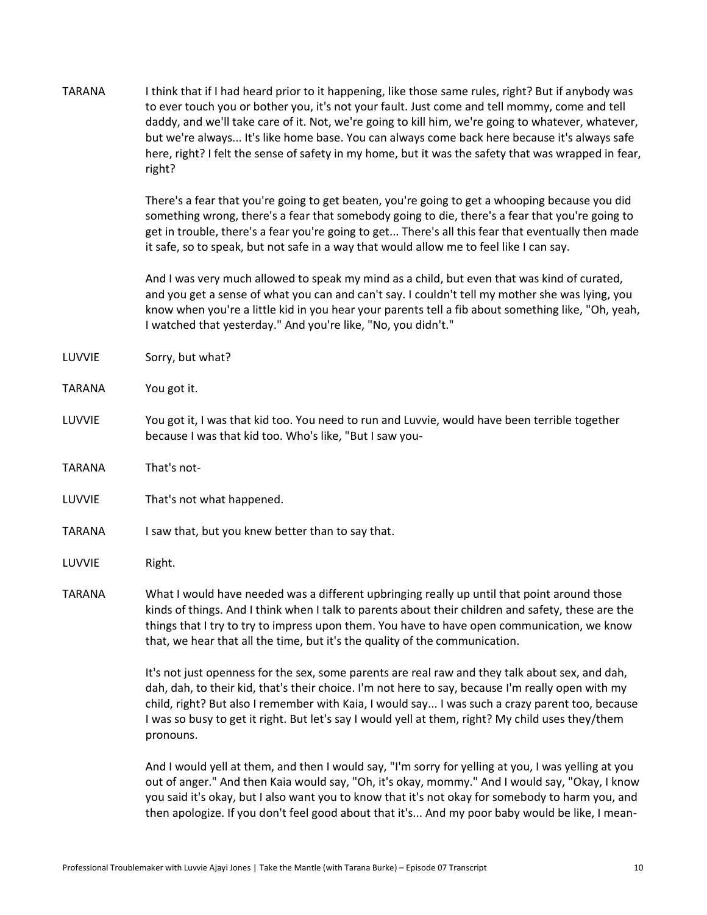| <b>TARANA</b> | I think that if I had heard prior to it happening, like those same rules, right? But if anybody was<br>to ever touch you or bother you, it's not your fault. Just come and tell mommy, come and tell<br>daddy, and we'll take care of it. Not, we're going to kill him, we're going to whatever, whatever,<br>but we're always It's like home base. You can always come back here because it's always safe<br>here, right? I felt the sense of safety in my home, but it was the safety that was wrapped in fear,<br>right? |
|---------------|-----------------------------------------------------------------------------------------------------------------------------------------------------------------------------------------------------------------------------------------------------------------------------------------------------------------------------------------------------------------------------------------------------------------------------------------------------------------------------------------------------------------------------|
|               | There's a fear that you're going to get beaten, you're going to get a whooping because you did<br>something wrong, there's a fear that somebody going to die, there's a fear that you're going to<br>get in trouble, there's a fear you're going to get There's all this fear that eventually then made<br>it safe, so to speak, but not safe in a way that would allow me to feel like I can say.                                                                                                                          |
|               | And I was very much allowed to speak my mind as a child, but even that was kind of curated,<br>and you get a sense of what you can and can't say. I couldn't tell my mother she was lying, you<br>know when you're a little kid in you hear your parents tell a fib about something like, "Oh, yeah,<br>I watched that yesterday." And you're like, "No, you didn't."                                                                                                                                                       |
| LUVVIE        | Sorry, but what?                                                                                                                                                                                                                                                                                                                                                                                                                                                                                                            |
| <b>TARANA</b> | You got it.                                                                                                                                                                                                                                                                                                                                                                                                                                                                                                                 |
| LUVVIE        | You got it, I was that kid too. You need to run and Luvvie, would have been terrible together<br>because I was that kid too. Who's like, "But I saw you-                                                                                                                                                                                                                                                                                                                                                                    |
| <b>TARANA</b> | That's not-                                                                                                                                                                                                                                                                                                                                                                                                                                                                                                                 |
| LUVVIE        | That's not what happened.                                                                                                                                                                                                                                                                                                                                                                                                                                                                                                   |
| <b>TARANA</b> | I saw that, but you knew better than to say that.                                                                                                                                                                                                                                                                                                                                                                                                                                                                           |
| LUVVIE        | Right.                                                                                                                                                                                                                                                                                                                                                                                                                                                                                                                      |
| <b>TARANA</b> | What I would have needed was a different upbringing really up until that point around those<br>kinds of things. And I think when I talk to parents about their children and safety, these are the<br>things that I try to try to impress upon them. You have to have open communication, we know<br>that, we hear that all the time, but it's the quality of the communication.                                                                                                                                             |
|               | It's not just openness for the sex, some parents are real raw and they talk about sex, and dah,<br>dah, dah, to their kid, that's their choice. I'm not here to say, because I'm really open with my<br>child, right? But also I remember with Kaia, I would say I was such a crazy parent too, because<br>I was so busy to get it right. But let's say I would yell at them, right? My child uses they/them<br>pronouns.                                                                                                   |
|               | And I would yell at them, and then I would say, "I'm sorry for yelling at you, I was yelling at you                                                                                                                                                                                                                                                                                                                                                                                                                         |

out of anger." And then Kaia would say, "Oh, it's okay, mommy." And I would say, "Okay, I know you said it's okay, but I also want you to know that it's not okay for somebody to harm you, and then apologize. If you don't feel good about that it's... And my poor baby would be like, I mean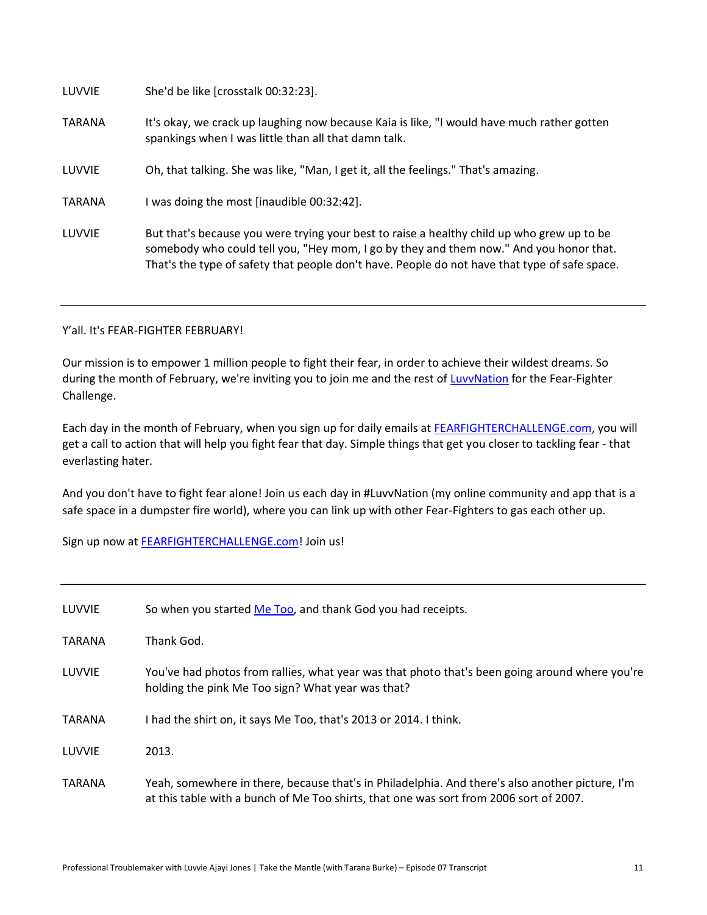LUVVIE She'd be like [crosstalk 00:32:23].

- TARANA It's okay, we crack up laughing now because Kaia is like, "I would have much rather gotten spankings when I was little than all that damn talk.
- LUVVIE Oh, that talking. She was like, "Man, I get it, all the feelings." That's amazing.

TARANA I was doing the most [inaudible 00:32:42].

LUVVIE But that's because you were trying your best to raise a healthy child up who grew up to be somebody who could tell you, "Hey mom, I go by they and them now." And you honor that. That's the type of safety that people don't have. People do not have that type of safe space.

## Y'all. It's FEAR-FIGHTER FEBRUARY!

Our mission is to empower 1 million people to fight their fear, in order to achieve their wildest dreams. So during the month of February, we're inviting you to join me and the rest of LuvyNation for the Fear-Fighter Challenge.

Each day in the month of February, when you sign up for daily emails at [FEARFIGHTERCHALLENGE.com,](http://fearfighterchallenge.com/) you will get a call to action that will help you fight fear that day. Simple things that get you closer to tackling fear - that everlasting hater.

And you don't have to fight fear alone! Join us each day in #LuvvNation (my online community and app that is a safe space in a dumpster fire world), where you can link up with other Fear-Fighters to gas each other up.

Sign up now at [FEARFIGHTERCHALLENGE.com!](http://fearfighterchallenge.com/) Join us!

| LUVVIE        | So when you started Me Too, and thank God you had receipts.                                                                                                                               |
|---------------|-------------------------------------------------------------------------------------------------------------------------------------------------------------------------------------------|
| <b>TARANA</b> | Thank God.                                                                                                                                                                                |
| LUVVIE        | You've had photos from rallies, what year was that photo that's been going around where you're<br>holding the pink Me Too sign? What year was that?                                       |
| <b>TARANA</b> | I had the shirt on, it says Me Too, that's 2013 or 2014. I think.                                                                                                                         |
| LUVVIE        | 2013.                                                                                                                                                                                     |
| <b>TARANA</b> | Yeah, somewhere in there, because that's in Philadelphia. And there's also another picture, I'm<br>at this table with a bunch of Me Too shirts, that one was sort from 2006 sort of 2007. |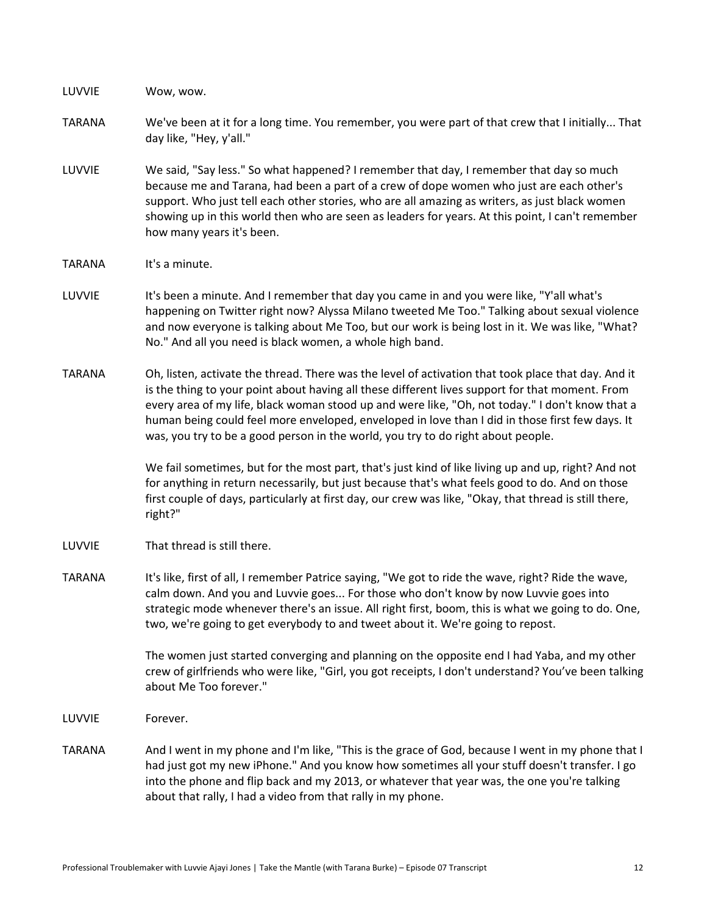LUVVIE Wow, wow.

- TARANA We've been at it for a long time. You remember, you were part of that crew that I initially... That day like, "Hey, y'all."
- LUVVIE We said, "Say less." So what happened? I remember that day, I remember that day so much because me and Tarana, had been a part of a crew of dope women who just are each other's support. Who just tell each other stories, who are all amazing as writers, as just black women showing up in this world then who are seen as leaders for years. At this point, I can't remember how many years it's been.
- TARANA It's a minute.
- LUVVIE It's been a minute. And I remember that day you came in and you were like, "Y'all what's happening on Twitter right now? Alyssa Milano tweeted Me Too." Talking about sexual violence and now everyone is talking about Me Too, but our work is being lost in it. We was like, "What? No." And all you need is black women, a whole high band.
- TARANA Oh, listen, activate the thread. There was the level of activation that took place that day. And it is the thing to your point about having all these different lives support for that moment. From every area of my life, black woman stood up and were like, "Oh, not today." I don't know that a human being could feel more enveloped, enveloped in love than I did in those first few days. It was, you try to be a good person in the world, you try to do right about people.

We fail sometimes, but for the most part, that's just kind of like living up and up, right? And not for anything in return necessarily, but just because that's what feels good to do. And on those first couple of days, particularly at first day, our crew was like, "Okay, that thread is still there, right?"

- LUVVIE That thread is still there.
- TARANA It's like, first of all, I remember Patrice saying, "We got to ride the wave, right? Ride the wave, calm down. And you and Luvvie goes... For those who don't know by now Luvvie goes into strategic mode whenever there's an issue. All right first, boom, this is what we going to do. One, two, we're going to get everybody to and tweet about it. We're going to repost.

The women just started converging and planning on the opposite end I had Yaba, and my other crew of girlfriends who were like, "Girl, you got receipts, I don't understand? You've been talking about Me Too forever."

- LUVVIE Forever.
- TARANA And I went in my phone and I'm like, "This is the grace of God, because I went in my phone that I had just got my new iPhone." And you know how sometimes all your stuff doesn't transfer. I go into the phone and flip back and my 2013, or whatever that year was, the one you're talking about that rally, I had a video from that rally in my phone.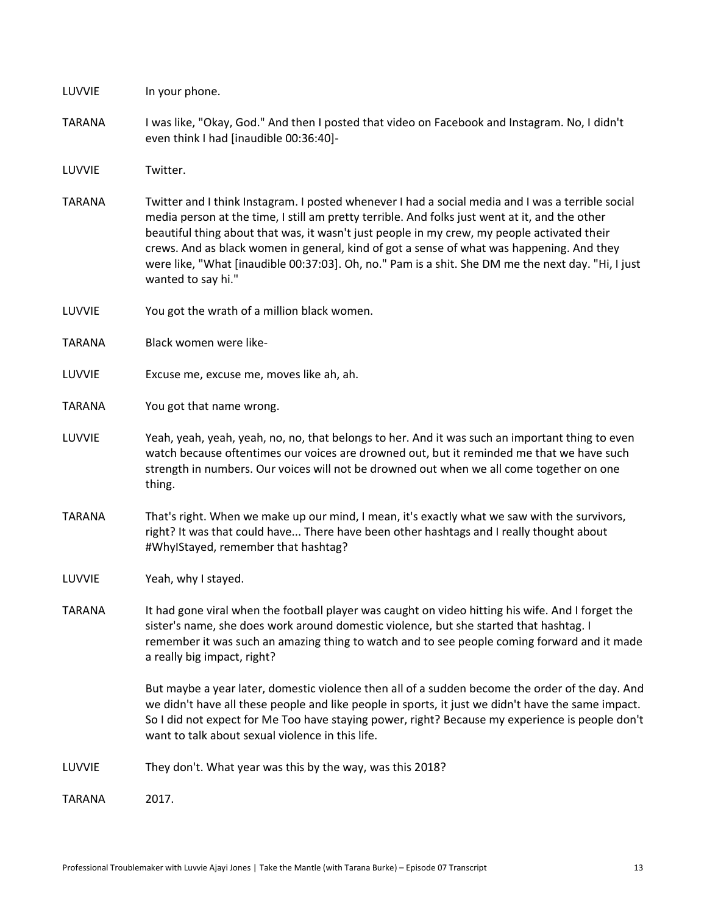| LUVVIE        | In your phone.                                                                                                                                                                                                                                                                                                                                                                                                                                                                                                              |
|---------------|-----------------------------------------------------------------------------------------------------------------------------------------------------------------------------------------------------------------------------------------------------------------------------------------------------------------------------------------------------------------------------------------------------------------------------------------------------------------------------------------------------------------------------|
| <b>TARANA</b> | I was like, "Okay, God." And then I posted that video on Facebook and Instagram. No, I didn't<br>even think I had [inaudible 00:36:40]-                                                                                                                                                                                                                                                                                                                                                                                     |
| LUVVIE        | Twitter.                                                                                                                                                                                                                                                                                                                                                                                                                                                                                                                    |
| <b>TARANA</b> | Twitter and I think Instagram. I posted whenever I had a social media and I was a terrible social<br>media person at the time, I still am pretty terrible. And folks just went at it, and the other<br>beautiful thing about that was, it wasn't just people in my crew, my people activated their<br>crews. And as black women in general, kind of got a sense of what was happening. And they<br>were like, "What [inaudible 00:37:03]. Oh, no." Pam is a shit. She DM me the next day. "Hi, I just<br>wanted to say hi." |
| LUVVIE        | You got the wrath of a million black women.                                                                                                                                                                                                                                                                                                                                                                                                                                                                                 |
| <b>TARANA</b> | Black women were like-                                                                                                                                                                                                                                                                                                                                                                                                                                                                                                      |
| LUVVIE        | Excuse me, excuse me, moves like ah, ah.                                                                                                                                                                                                                                                                                                                                                                                                                                                                                    |
| <b>TARANA</b> | You got that name wrong.                                                                                                                                                                                                                                                                                                                                                                                                                                                                                                    |
| LUVVIE        | Yeah, yeah, yeah, yeah, no, no, that belongs to her. And it was such an important thing to even<br>watch because oftentimes our voices are drowned out, but it reminded me that we have such<br>strength in numbers. Our voices will not be drowned out when we all come together on one<br>thing.                                                                                                                                                                                                                          |
| <b>TARANA</b> | That's right. When we make up our mind, I mean, it's exactly what we saw with the survivors,<br>right? It was that could have There have been other hashtags and I really thought about<br>#WhylStayed, remember that hashtag?                                                                                                                                                                                                                                                                                              |
| LUVVIE        | Yeah, why I stayed.                                                                                                                                                                                                                                                                                                                                                                                                                                                                                                         |
| <b>TARANA</b> | It had gone viral when the football player was caught on video hitting his wife. And I forget the<br>sister's name, she does work around domestic violence, but she started that hashtag. I<br>remember it was such an amazing thing to watch and to see people coming forward and it made<br>a really big impact, right?                                                                                                                                                                                                   |
|               | But maybe a year later, domestic violence then all of a sudden become the order of the day. And<br>we didn't have all these people and like people in sports, it just we didn't have the same impact.<br>So I did not expect for Me Too have staying power, right? Because my experience is people don't<br>want to talk about sexual violence in this life.                                                                                                                                                                |
| LUVVIE        | They don't. What year was this by the way, was this 2018?                                                                                                                                                                                                                                                                                                                                                                                                                                                                   |
| <b>TARANA</b> | 2017.                                                                                                                                                                                                                                                                                                                                                                                                                                                                                                                       |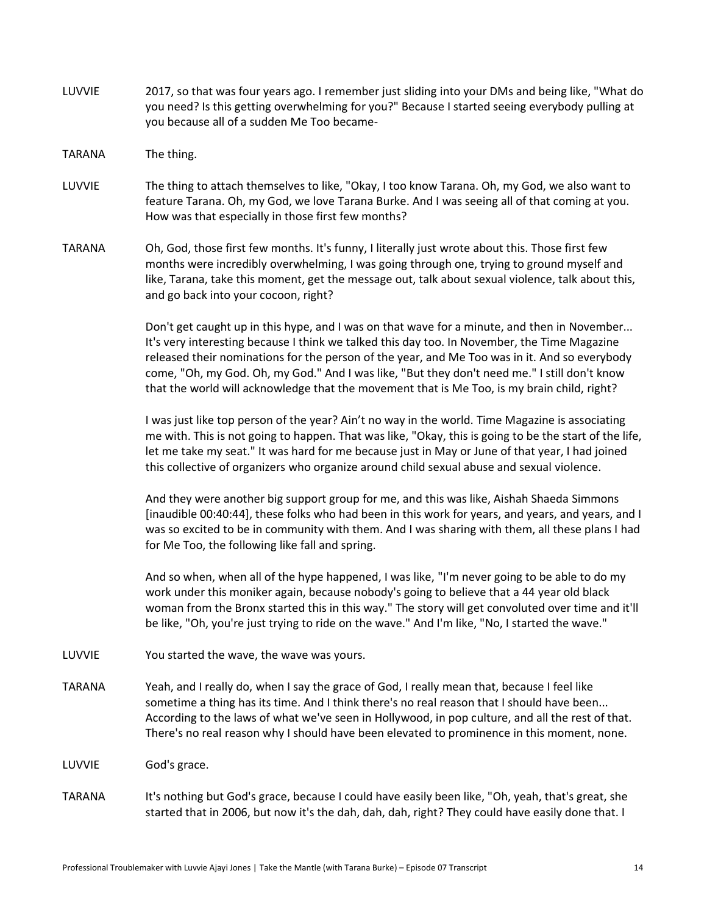- LUVVIE 2017, so that was four years ago. I remember just sliding into your DMs and being like, "What do you need? Is this getting overwhelming for you?" Because I started seeing everybody pulling at you because all of a sudden Me Too became-
- TARANA The thing.
- LUVVIE The thing to attach themselves to like, "Okay, I too know Tarana. Oh, my God, we also want to feature Tarana. Oh, my God, we love Tarana Burke. And I was seeing all of that coming at you. How was that especially in those first few months?
- TARANA Oh, God, those first few months. It's funny, I literally just wrote about this. Those first few months were incredibly overwhelming, I was going through one, trying to ground myself and like, Tarana, take this moment, get the message out, talk about sexual violence, talk about this, and go back into your cocoon, right?

Don't get caught up in this hype, and I was on that wave for a minute, and then in November... It's very interesting because I think we talked this day too. In November, the Time Magazine released their nominations for the person of the year, and Me Too was in it. And so everybody come, "Oh, my God. Oh, my God." And I was like, "But they don't need me." I still don't know that the world will acknowledge that the movement that is Me Too, is my brain child, right?

I was just like top person of the year? Ain't no way in the world. Time Magazine is associating me with. This is not going to happen. That was like, "Okay, this is going to be the start of the life, let me take my seat." It was hard for me because just in May or June of that year, I had joined this collective of organizers who organize around child sexual abuse and sexual violence.

And they were another big support group for me, and this was like, Aishah Shaeda Simmons [inaudible 00:40:44], these folks who had been in this work for years, and years, and years, and I was so excited to be in community with them. And I was sharing with them, all these plans I had for Me Too, the following like fall and spring.

And so when, when all of the hype happened, I was like, "I'm never going to be able to do my work under this moniker again, because nobody's going to believe that a 44 year old black woman from the Bronx started this in this way." The story will get convoluted over time and it'll be like, "Oh, you're just trying to ride on the wave." And I'm like, "No, I started the wave."

- LUVVIE You started the wave, the wave was yours.
- TARANA Yeah, and I really do, when I say the grace of God, I really mean that, because I feel like sometime a thing has its time. And I think there's no real reason that I should have been... According to the laws of what we've seen in Hollywood, in pop culture, and all the rest of that. There's no real reason why I should have been elevated to prominence in this moment, none.
- LUVVIE God's grace.
- TARANA It's nothing but God's grace, because I could have easily been like, "Oh, yeah, that's great, she started that in 2006, but now it's the dah, dah, dah, right? They could have easily done that. I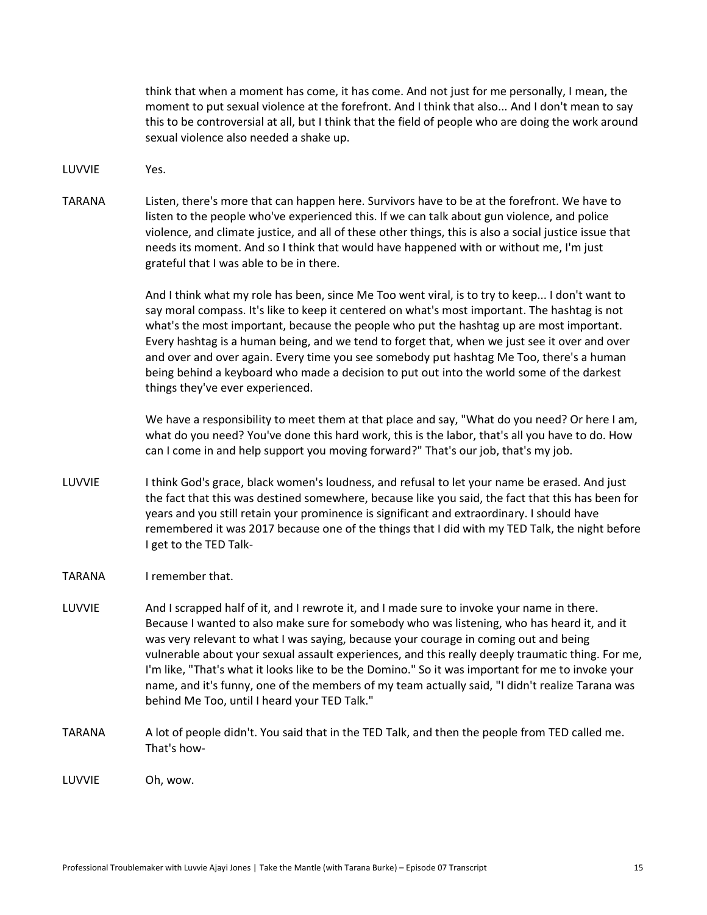think that when a moment has come, it has come. And not just for me personally, I mean, the moment to put sexual violence at the forefront. And I think that also... And I don't mean to say this to be controversial at all, but I think that the field of people who are doing the work around sexual violence also needed a shake up.

- LUVVIE Yes.
- TARANA Listen, there's more that can happen here. Survivors have to be at the forefront. We have to listen to the people who've experienced this. If we can talk about gun violence, and police violence, and climate justice, and all of these other things, this is also a social justice issue that needs its moment. And so I think that would have happened with or without me, I'm just grateful that I was able to be in there.

And I think what my role has been, since Me Too went viral, is to try to keep... I don't want to say moral compass. It's like to keep it centered on what's most important. The hashtag is not what's the most important, because the people who put the hashtag up are most important. Every hashtag is a human being, and we tend to forget that, when we just see it over and over and over and over again. Every time you see somebody put hashtag Me Too, there's a human being behind a keyboard who made a decision to put out into the world some of the darkest things they've ever experienced.

We have a responsibility to meet them at that place and say, "What do you need? Or here I am, what do you need? You've done this hard work, this is the labor, that's all you have to do. How can I come in and help support you moving forward?" That's our job, that's my job.

- LUVVIE Ithink God's grace, black women's loudness, and refusal to let your name be erased. And just the fact that this was destined somewhere, because like you said, the fact that this has been for years and you still retain your prominence is significant and extraordinary. I should have remembered it was 2017 because one of the things that I did with my TED Talk, the night before I get to the TED Talk-
- TARANA I remember that.
- LUVVIE And I scrapped half of it, and I rewrote it, and I made sure to invoke your name in there. Because I wanted to also make sure for somebody who was listening, who has heard it, and it was very relevant to what I was saying, because your courage in coming out and being vulnerable about your sexual assault experiences, and this really deeply traumatic thing. For me, I'm like, "That's what it looks like to be the Domino." So it was important for me to invoke your name, and it's funny, one of the members of my team actually said, "I didn't realize Tarana was behind Me Too, until I heard your TED Talk."
- TARANA A lot of people didn't. You said that in the TED Talk, and then the people from TED called me. That's how-

LUVVIE Oh, wow.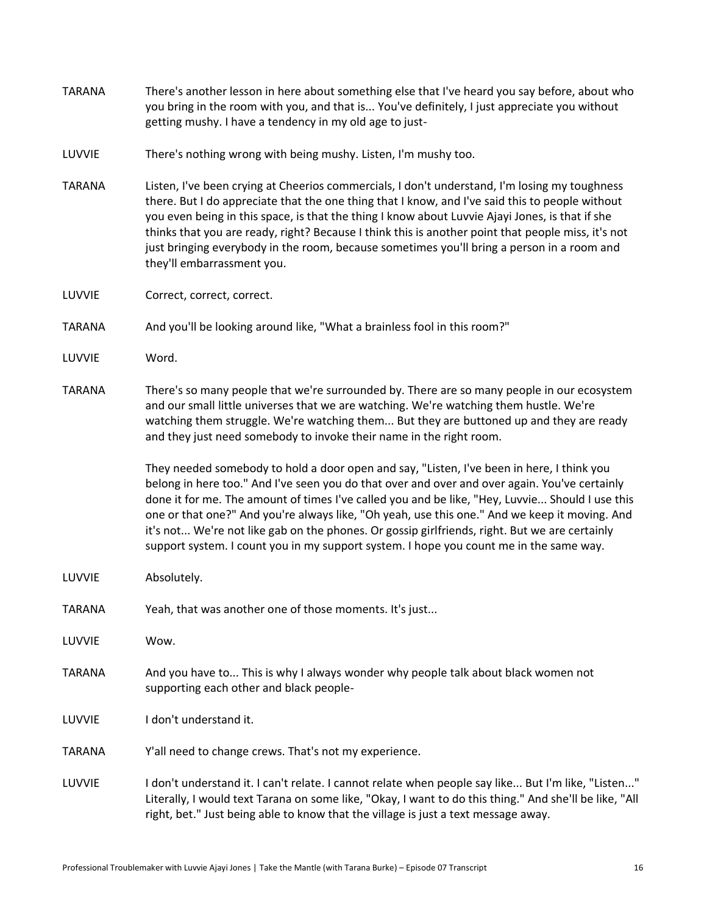- TARANA There's another lesson in here about something else that I've heard you say before, about who you bring in the room with you, and that is... You've definitely, I just appreciate you without getting mushy. I have a tendency in my old age to just-
- LUVVIE There's nothing wrong with being mushy. Listen, I'm mushy too.
- TARANA Listen, I've been crying at Cheerios commercials, I don't understand, I'm losing my toughness there. But I do appreciate that the one thing that I know, and I've said this to people without you even being in this space, is that the thing I know about Luvvie Ajayi Jones, is that if she thinks that you are ready, right? Because I think this is another point that people miss, it's not just bringing everybody in the room, because sometimes you'll bring a person in a room and they'll embarrassment you.
- LUVVIE Correct, correct, correct.
- TARANA And you'll be looking around like, "What a brainless fool in this room?"
- LUVVIE Word.
- TARANA There's so many people that we're surrounded by. There are so many people in our ecosystem and our small little universes that we are watching. We're watching them hustle. We're watching them struggle. We're watching them... But they are buttoned up and they are ready and they just need somebody to invoke their name in the right room.

They needed somebody to hold a door open and say, "Listen, I've been in here, I think you belong in here too." And I've seen you do that over and over and over again. You've certainly done it for me. The amount of times I've called you and be like, "Hey, Luvvie... Should I use this one or that one?" And you're always like, "Oh yeah, use this one." And we keep it moving. And it's not... We're not like gab on the phones. Or gossip girlfriends, right. But we are certainly support system. I count you in my support system. I hope you count me in the same way.

- LUVVIE Absolutely.
- TARANA Yeah, that was another one of those moments. It's just...
- LUVVIE Wow.
- TARANA And you have to... This is why I always wonder why people talk about black women not supporting each other and black people-
- LUVVIE I don't understand it.
- TARANA Y'all need to change crews. That's not my experience.
- LUVVIE I don't understand it. I can't relate. I cannot relate when people say like... But I'm like, "Listen..." Literally, I would text Tarana on some like, "Okay, I want to do this thing." And she'll be like, "All right, bet." Just being able to know that the village is just a text message away.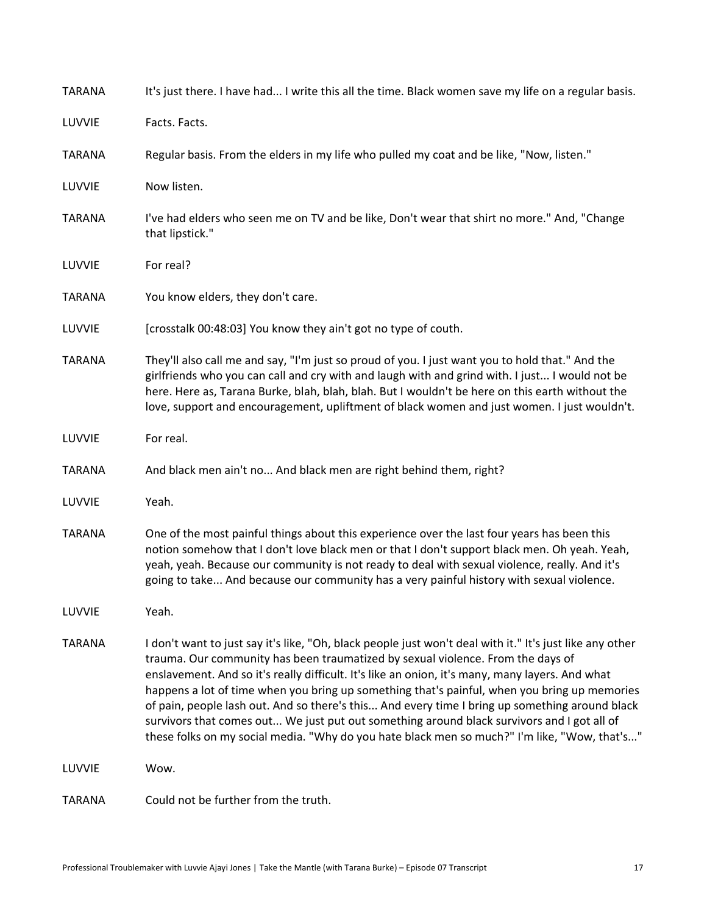| <b>TARANA</b> | It's just there. I have had I write this all the time. Black women save my life on a regular basis.                                                                                                                                                                                                                                                                                                                                                                                                                                                                                                                                                                                            |
|---------------|------------------------------------------------------------------------------------------------------------------------------------------------------------------------------------------------------------------------------------------------------------------------------------------------------------------------------------------------------------------------------------------------------------------------------------------------------------------------------------------------------------------------------------------------------------------------------------------------------------------------------------------------------------------------------------------------|
| LUVVIE        | Facts. Facts.                                                                                                                                                                                                                                                                                                                                                                                                                                                                                                                                                                                                                                                                                  |
| <b>TARANA</b> | Regular basis. From the elders in my life who pulled my coat and be like, "Now, listen."                                                                                                                                                                                                                                                                                                                                                                                                                                                                                                                                                                                                       |
| LUVVIE        | Now listen.                                                                                                                                                                                                                                                                                                                                                                                                                                                                                                                                                                                                                                                                                    |
| <b>TARANA</b> | I've had elders who seen me on TV and be like, Don't wear that shirt no more." And, "Change<br>that lipstick."                                                                                                                                                                                                                                                                                                                                                                                                                                                                                                                                                                                 |
| LUVVIE        | For real?                                                                                                                                                                                                                                                                                                                                                                                                                                                                                                                                                                                                                                                                                      |
| <b>TARANA</b> | You know elders, they don't care.                                                                                                                                                                                                                                                                                                                                                                                                                                                                                                                                                                                                                                                              |
| LUVVIE        | [crosstalk 00:48:03] You know they ain't got no type of couth.                                                                                                                                                                                                                                                                                                                                                                                                                                                                                                                                                                                                                                 |
| <b>TARANA</b> | They'll also call me and say, "I'm just so proud of you. I just want you to hold that." And the<br>girlfriends who you can call and cry with and laugh with and grind with. I just I would not be<br>here. Here as, Tarana Burke, blah, blah, blah. But I wouldn't be here on this earth without the<br>love, support and encouragement, upliftment of black women and just women. I just wouldn't.                                                                                                                                                                                                                                                                                            |
| LUVVIE        | For real.                                                                                                                                                                                                                                                                                                                                                                                                                                                                                                                                                                                                                                                                                      |
| <b>TARANA</b> | And black men ain't no And black men are right behind them, right?                                                                                                                                                                                                                                                                                                                                                                                                                                                                                                                                                                                                                             |
| LUVVIE        | Yeah.                                                                                                                                                                                                                                                                                                                                                                                                                                                                                                                                                                                                                                                                                          |
| <b>TARANA</b> | One of the most painful things about this experience over the last four years has been this<br>notion somehow that I don't love black men or that I don't support black men. Oh yeah. Yeah,<br>yeah, yeah. Because our community is not ready to deal with sexual violence, really. And it's<br>going to take And because our community has a very painful history with sexual violence.                                                                                                                                                                                                                                                                                                       |
| LUVVIE        | Yeah.                                                                                                                                                                                                                                                                                                                                                                                                                                                                                                                                                                                                                                                                                          |
| <b>TARANA</b> | I don't want to just say it's like, "Oh, black people just won't deal with it." It's just like any other<br>trauma. Our community has been traumatized by sexual violence. From the days of<br>enslavement. And so it's really difficult. It's like an onion, it's many, many layers. And what<br>happens a lot of time when you bring up something that's painful, when you bring up memories<br>of pain, people lash out. And so there's this And every time I bring up something around black<br>survivors that comes out We just put out something around black survivors and I got all of<br>these folks on my social media. "Why do you hate black men so much?" I'm like, "Wow, that's" |
| LUVVIE        | Wow.                                                                                                                                                                                                                                                                                                                                                                                                                                                                                                                                                                                                                                                                                           |
| <b>TARANA</b> | Could not be further from the truth.                                                                                                                                                                                                                                                                                                                                                                                                                                                                                                                                                                                                                                                           |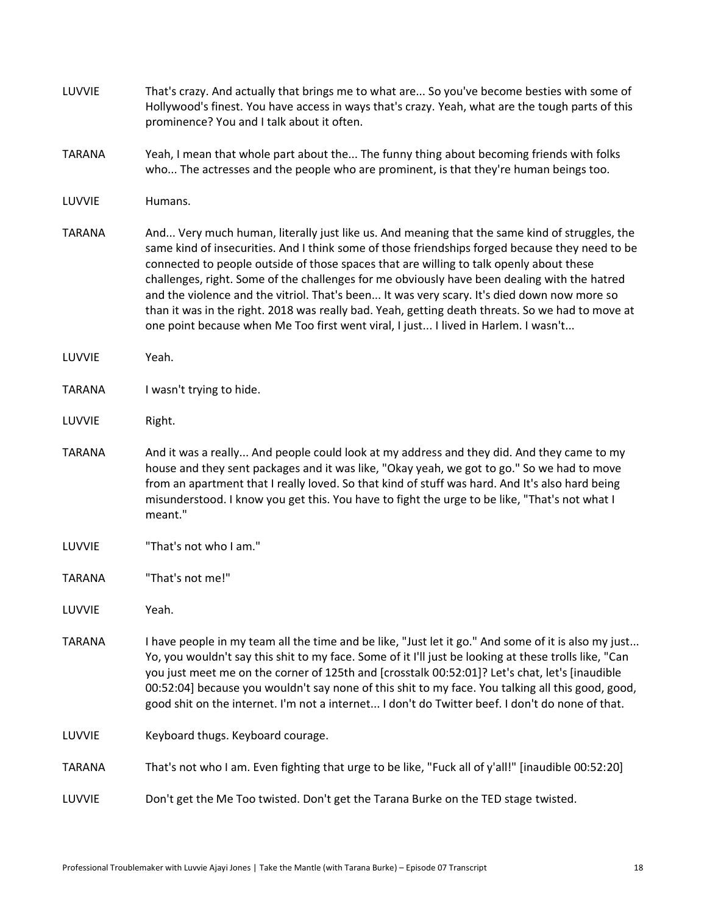| LUVVIE        | That's crazy. And actually that brings me to what are So you've become besties with some of<br>Hollywood's finest. You have access in ways that's crazy. Yeah, what are the tough parts of this<br>prominence? You and I talk about it often.                                                                                                                                                                                                                                                                                                                                                                                                                                        |
|---------------|--------------------------------------------------------------------------------------------------------------------------------------------------------------------------------------------------------------------------------------------------------------------------------------------------------------------------------------------------------------------------------------------------------------------------------------------------------------------------------------------------------------------------------------------------------------------------------------------------------------------------------------------------------------------------------------|
| <b>TARANA</b> | Yeah, I mean that whole part about the The funny thing about becoming friends with folks<br>who The actresses and the people who are prominent, is that they're human beings too.                                                                                                                                                                                                                                                                                                                                                                                                                                                                                                    |
| LUVVIE        | Humans.                                                                                                                                                                                                                                                                                                                                                                                                                                                                                                                                                                                                                                                                              |
| <b>TARANA</b> | And Very much human, literally just like us. And meaning that the same kind of struggles, the<br>same kind of insecurities. And I think some of those friendships forged because they need to be<br>connected to people outside of those spaces that are willing to talk openly about these<br>challenges, right. Some of the challenges for me obviously have been dealing with the hatred<br>and the violence and the vitriol. That's been It was very scary. It's died down now more so<br>than it was in the right. 2018 was really bad. Yeah, getting death threats. So we had to move at<br>one point because when Me Too first went viral, I just I lived in Harlem. I wasn't |
| LUVVIE        | Yeah.                                                                                                                                                                                                                                                                                                                                                                                                                                                                                                                                                                                                                                                                                |
| <b>TARANA</b> | I wasn't trying to hide.                                                                                                                                                                                                                                                                                                                                                                                                                                                                                                                                                                                                                                                             |
| LUVVIE        | Right.                                                                                                                                                                                                                                                                                                                                                                                                                                                                                                                                                                                                                                                                               |
| <b>TARANA</b> | And it was a really And people could look at my address and they did. And they came to my<br>house and they sent packages and it was like, "Okay yeah, we got to go." So we had to move<br>from an apartment that I really loved. So that kind of stuff was hard. And It's also hard being<br>misunderstood. I know you get this. You have to fight the urge to be like, "That's not what I<br>meant."                                                                                                                                                                                                                                                                               |
| LUVVIE        | "That's not who I am."                                                                                                                                                                                                                                                                                                                                                                                                                                                                                                                                                                                                                                                               |
| <b>TARANA</b> | "That's not me!"                                                                                                                                                                                                                                                                                                                                                                                                                                                                                                                                                                                                                                                                     |
| LUVVIE        | Yeah.                                                                                                                                                                                                                                                                                                                                                                                                                                                                                                                                                                                                                                                                                |
| <b>TARANA</b> | I have people in my team all the time and be like, "Just let it go." And some of it is also my just<br>Yo, you wouldn't say this shit to my face. Some of it I'll just be looking at these trolls like, "Can<br>you just meet me on the corner of 125th and [crosstalk 00:52:01]? Let's chat, let's [inaudible<br>00:52:04] because you wouldn't say none of this shit to my face. You talking all this good, good,<br>good shit on the internet. I'm not a internet I don't do Twitter beef. I don't do none of that.                                                                                                                                                               |
| LUVVIE        | Keyboard thugs. Keyboard courage.                                                                                                                                                                                                                                                                                                                                                                                                                                                                                                                                                                                                                                                    |
| <b>TARANA</b> | That's not who I am. Even fighting that urge to be like, "Fuck all of y'all!" [inaudible 00:52:20]                                                                                                                                                                                                                                                                                                                                                                                                                                                                                                                                                                                   |
| LUVVIE        | Don't get the Me Too twisted. Don't get the Tarana Burke on the TED stage twisted.                                                                                                                                                                                                                                                                                                                                                                                                                                                                                                                                                                                                   |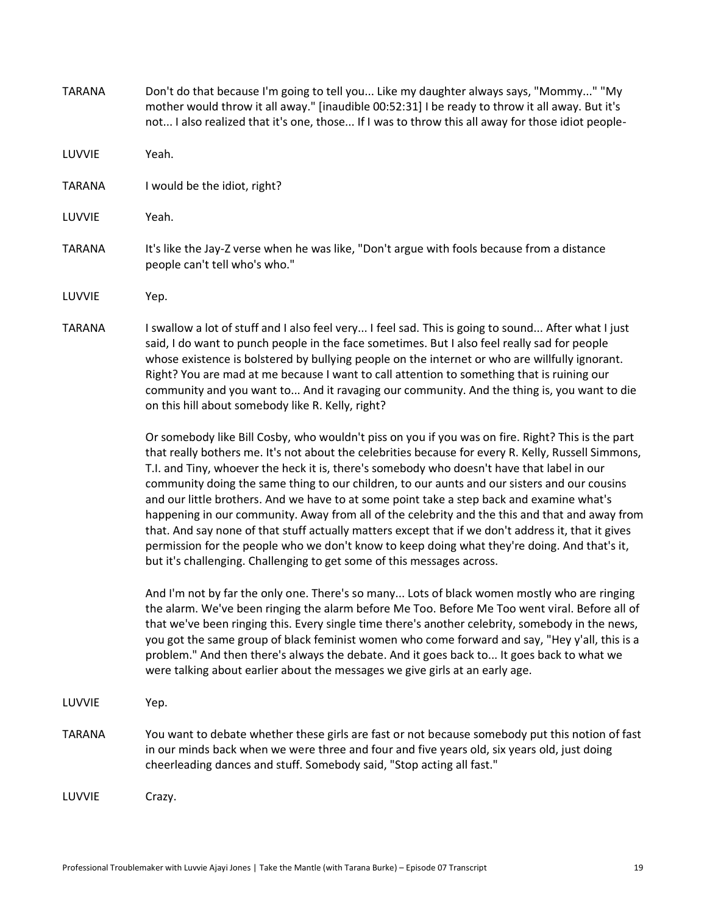| <b>TARANA</b> | Don't do that because I'm going to tell you Like my daughter always says, "Mommy" "My<br>mother would throw it all away." [inaudible 00:52:31] I be ready to throw it all away. But it's<br>not I also realized that it's one, those If I was to throw this all away for those idiot people-                                                                                                                                                                                                                                                                                                                                                                                                                                                                                                                                                                                           |
|---------------|----------------------------------------------------------------------------------------------------------------------------------------------------------------------------------------------------------------------------------------------------------------------------------------------------------------------------------------------------------------------------------------------------------------------------------------------------------------------------------------------------------------------------------------------------------------------------------------------------------------------------------------------------------------------------------------------------------------------------------------------------------------------------------------------------------------------------------------------------------------------------------------|
| LUVVIE        | Yeah.                                                                                                                                                                                                                                                                                                                                                                                                                                                                                                                                                                                                                                                                                                                                                                                                                                                                                  |
| <b>TARANA</b> | I would be the idiot, right?                                                                                                                                                                                                                                                                                                                                                                                                                                                                                                                                                                                                                                                                                                                                                                                                                                                           |
| LUVVIE        | Yeah.                                                                                                                                                                                                                                                                                                                                                                                                                                                                                                                                                                                                                                                                                                                                                                                                                                                                                  |
| <b>TARANA</b> | It's like the Jay-Z verse when he was like, "Don't argue with fools because from a distance<br>people can't tell who's who."                                                                                                                                                                                                                                                                                                                                                                                                                                                                                                                                                                                                                                                                                                                                                           |
| LUVVIE        | Yep.                                                                                                                                                                                                                                                                                                                                                                                                                                                                                                                                                                                                                                                                                                                                                                                                                                                                                   |
| <b>TARANA</b> | I swallow a lot of stuff and I also feel very I feel sad. This is going to sound After what I just<br>said, I do want to punch people in the face sometimes. But I also feel really sad for people<br>whose existence is bolstered by bullying people on the internet or who are willfully ignorant.<br>Right? You are mad at me because I want to call attention to something that is ruining our<br>community and you want to And it ravaging our community. And the thing is, you want to die<br>on this hill about somebody like R. Kelly, right?                                                                                                                                                                                                                                                                                                                                  |
|               | Or somebody like Bill Cosby, who wouldn't piss on you if you was on fire. Right? This is the part<br>that really bothers me. It's not about the celebrities because for every R. Kelly, Russell Simmons,<br>T.I. and Tiny, whoever the heck it is, there's somebody who doesn't have that label in our<br>community doing the same thing to our children, to our aunts and our sisters and our cousins<br>and our little brothers. And we have to at some point take a step back and examine what's<br>happening in our community. Away from all of the celebrity and the this and that and away from<br>that. And say none of that stuff actually matters except that if we don't address it, that it gives<br>permission for the people who we don't know to keep doing what they're doing. And that's it,<br>but it's challenging. Challenging to get some of this messages across. |
|               | And I'm not by far the only one. There's so many Lots of black women mostly who are ringing<br>the alarm. We've been ringing the alarm before Me Too. Before Me Too went viral. Before all of<br>that we've been ringing this. Every single time there's another celebrity, somebody in the news,<br>you got the same group of black feminist women who come forward and say, "Hey y'all, this is a<br>problem." And then there's always the debate. And it goes back to It goes back to what we<br>were talking about earlier about the messages we give girls at an early age.                                                                                                                                                                                                                                                                                                       |
| LUVVIE        | Yep.                                                                                                                                                                                                                                                                                                                                                                                                                                                                                                                                                                                                                                                                                                                                                                                                                                                                                   |
| <b>TARANA</b> | You want to debate whether these girls are fast or not because somebody put this notion of fast<br>in our minds back when we were three and four and five years old, six years old, just doing<br>cheerleading dances and stuff. Somebody said, "Stop acting all fast."                                                                                                                                                                                                                                                                                                                                                                                                                                                                                                                                                                                                                |
| LUVVIE        | Crazy.                                                                                                                                                                                                                                                                                                                                                                                                                                                                                                                                                                                                                                                                                                                                                                                                                                                                                 |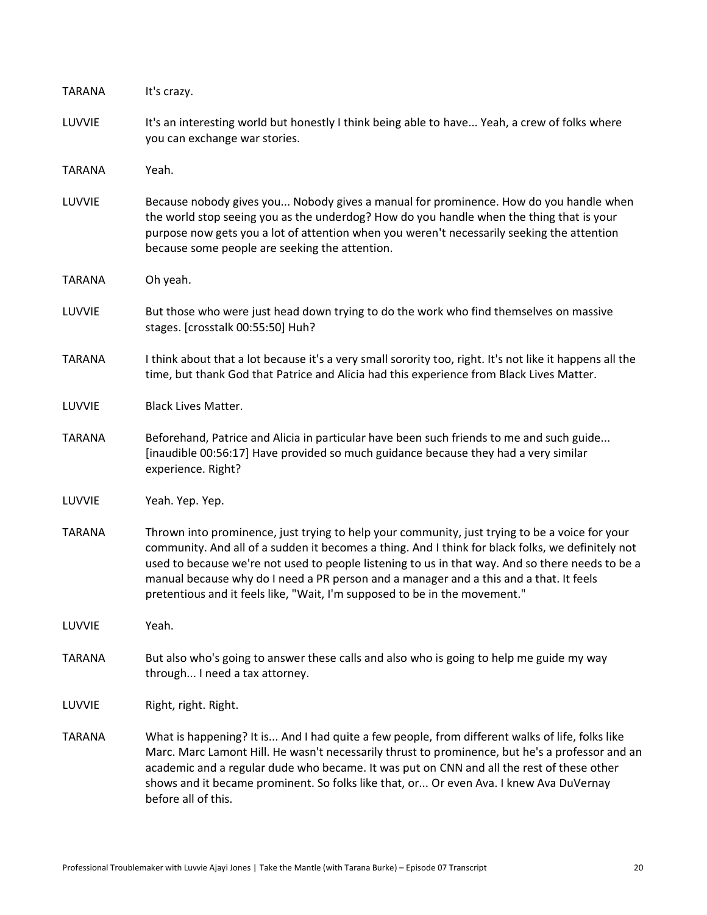| <b>TARANA</b> | It's crazy.                                                                                                                                                                                                                                                                                                                                                                                                                                                                     |
|---------------|---------------------------------------------------------------------------------------------------------------------------------------------------------------------------------------------------------------------------------------------------------------------------------------------------------------------------------------------------------------------------------------------------------------------------------------------------------------------------------|
| LUVVIE        | It's an interesting world but honestly I think being able to have Yeah, a crew of folks where<br>you can exchange war stories.                                                                                                                                                                                                                                                                                                                                                  |
| <b>TARANA</b> | Yeah.                                                                                                                                                                                                                                                                                                                                                                                                                                                                           |
| LUVVIE        | Because nobody gives you Nobody gives a manual for prominence. How do you handle when<br>the world stop seeing you as the underdog? How do you handle when the thing that is your<br>purpose now gets you a lot of attention when you weren't necessarily seeking the attention<br>because some people are seeking the attention.                                                                                                                                               |
| <b>TARANA</b> | Oh yeah.                                                                                                                                                                                                                                                                                                                                                                                                                                                                        |
| LUVVIE        | But those who were just head down trying to do the work who find themselves on massive<br>stages. [crosstalk 00:55:50] Huh?                                                                                                                                                                                                                                                                                                                                                     |
| <b>TARANA</b> | I think about that a lot because it's a very small sorority too, right. It's not like it happens all the<br>time, but thank God that Patrice and Alicia had this experience from Black Lives Matter.                                                                                                                                                                                                                                                                            |
| LUVVIE        | <b>Black Lives Matter.</b>                                                                                                                                                                                                                                                                                                                                                                                                                                                      |
| <b>TARANA</b> | Beforehand, Patrice and Alicia in particular have been such friends to me and such guide<br>[inaudible 00:56:17] Have provided so much guidance because they had a very similar<br>experience. Right?                                                                                                                                                                                                                                                                           |
| LUVVIE        | Yeah. Yep. Yep.                                                                                                                                                                                                                                                                                                                                                                                                                                                                 |
| <b>TARANA</b> | Thrown into prominence, just trying to help your community, just trying to be a voice for your<br>community. And all of a sudden it becomes a thing. And I think for black folks, we definitely not<br>used to because we're not used to people listening to us in that way. And so there needs to be a<br>manual because why do I need a PR person and a manager and a this and a that. It feels<br>pretentious and it feels like, "Wait, I'm supposed to be in the movement." |
| LUVVIE        | Yeah.                                                                                                                                                                                                                                                                                                                                                                                                                                                                           |
| <b>TARANA</b> | But also who's going to answer these calls and also who is going to help me guide my way<br>through I need a tax attorney.                                                                                                                                                                                                                                                                                                                                                      |
| LUVVIE        | Right, right. Right.                                                                                                                                                                                                                                                                                                                                                                                                                                                            |
| <b>TARANA</b> | What is happening? It is And I had quite a few people, from different walks of life, folks like<br>Marc. Marc Lamont Hill. He wasn't necessarily thrust to prominence, but he's a professor and an<br>academic and a regular dude who became. It was put on CNN and all the rest of these other<br>shows and it became prominent. So folks like that, or Or even Ava. I knew Ava DuVernay<br>before all of this.                                                                |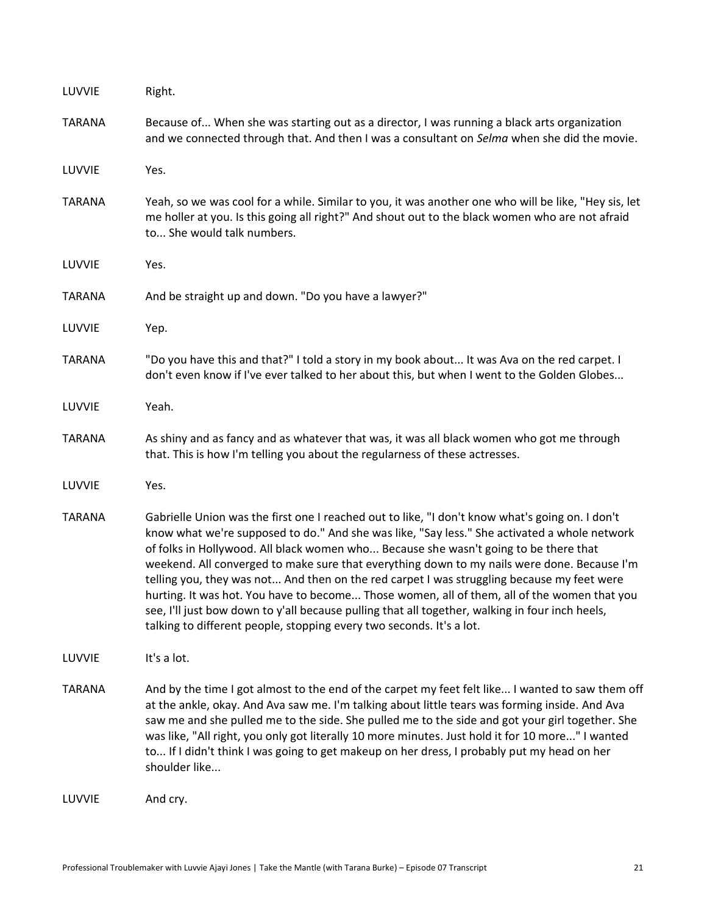| LUVVIE        | Right.                                                                                                                                                                                                                                                                                                                                                                                                                                                                                                                                                                                                                                                                                                                                                         |
|---------------|----------------------------------------------------------------------------------------------------------------------------------------------------------------------------------------------------------------------------------------------------------------------------------------------------------------------------------------------------------------------------------------------------------------------------------------------------------------------------------------------------------------------------------------------------------------------------------------------------------------------------------------------------------------------------------------------------------------------------------------------------------------|
| <b>TARANA</b> | Because of When she was starting out as a director, I was running a black arts organization<br>and we connected through that. And then I was a consultant on Selma when she did the movie.                                                                                                                                                                                                                                                                                                                                                                                                                                                                                                                                                                     |
| LUVVIE        | Yes.                                                                                                                                                                                                                                                                                                                                                                                                                                                                                                                                                                                                                                                                                                                                                           |
| <b>TARANA</b> | Yeah, so we was cool for a while. Similar to you, it was another one who will be like, "Hey sis, let<br>me holler at you. Is this going all right?" And shout out to the black women who are not afraid<br>to She would talk numbers.                                                                                                                                                                                                                                                                                                                                                                                                                                                                                                                          |
| LUVVIE        | Yes.                                                                                                                                                                                                                                                                                                                                                                                                                                                                                                                                                                                                                                                                                                                                                           |
| <b>TARANA</b> | And be straight up and down. "Do you have a lawyer?"                                                                                                                                                                                                                                                                                                                                                                                                                                                                                                                                                                                                                                                                                                           |
| LUVVIE        | Yep.                                                                                                                                                                                                                                                                                                                                                                                                                                                                                                                                                                                                                                                                                                                                                           |
| <b>TARANA</b> | "Do you have this and that?" I told a story in my book about It was Ava on the red carpet. I<br>don't even know if I've ever talked to her about this, but when I went to the Golden Globes                                                                                                                                                                                                                                                                                                                                                                                                                                                                                                                                                                    |
| LUVVIE        | Yeah.                                                                                                                                                                                                                                                                                                                                                                                                                                                                                                                                                                                                                                                                                                                                                          |
| <b>TARANA</b> | As shiny and as fancy and as whatever that was, it was all black women who got me through<br>that. This is how I'm telling you about the regularness of these actresses.                                                                                                                                                                                                                                                                                                                                                                                                                                                                                                                                                                                       |
| LUVVIE        | Yes.                                                                                                                                                                                                                                                                                                                                                                                                                                                                                                                                                                                                                                                                                                                                                           |
| <b>TARANA</b> | Gabrielle Union was the first one I reached out to like, "I don't know what's going on. I don't<br>know what we're supposed to do." And she was like, "Say less." She activated a whole network<br>of folks in Hollywood. All black women who Because she wasn't going to be there that<br>weekend. All converged to make sure that everything down to my nails were done. Because I'm<br>telling you, they was not And then on the red carpet I was struggling because my feet were<br>hurting. It was hot. You have to become Those women, all of them, all of the women that you<br>see, I'll just bow down to y'all because pulling that all together, walking in four inch heels,<br>talking to different people, stopping every two seconds. It's a lot. |
| LUVVIE        | It's a lot.                                                                                                                                                                                                                                                                                                                                                                                                                                                                                                                                                                                                                                                                                                                                                    |
| <b>TARANA</b> | And by the time I got almost to the end of the carpet my feet felt like I wanted to saw them off<br>at the ankle, okay. And Ava saw me. I'm talking about little tears was forming inside. And Ava<br>saw me and she pulled me to the side. She pulled me to the side and got your girl together. She<br>was like, "All right, you only got literally 10 more minutes. Just hold it for 10 more" I wanted<br>to If I didn't think I was going to get makeup on her dress, I probably put my head on her<br>shoulder like                                                                                                                                                                                                                                       |
| LUVVIE        | And cry.                                                                                                                                                                                                                                                                                                                                                                                                                                                                                                                                                                                                                                                                                                                                                       |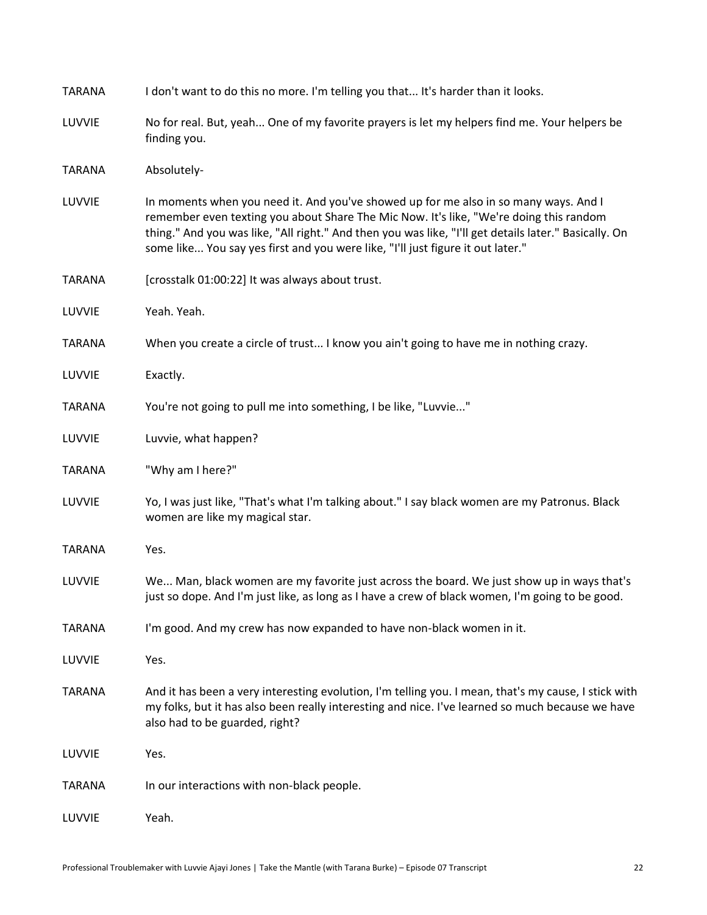| <b>TARANA</b> | I don't want to do this no more. I'm telling you that It's harder than it looks.                                                                                                                                                                                                                                                                                           |
|---------------|----------------------------------------------------------------------------------------------------------------------------------------------------------------------------------------------------------------------------------------------------------------------------------------------------------------------------------------------------------------------------|
| LUVVIE        | No for real. But, yeah One of my favorite prayers is let my helpers find me. Your helpers be<br>finding you.                                                                                                                                                                                                                                                               |
| <b>TARANA</b> | Absolutely-                                                                                                                                                                                                                                                                                                                                                                |
| LUVVIE        | In moments when you need it. And you've showed up for me also in so many ways. And I<br>remember even texting you about Share The Mic Now. It's like, "We're doing this random<br>thing." And you was like, "All right." And then you was like, "I'll get details later." Basically. On<br>some like You say yes first and you were like, "I'll just figure it out later." |
| <b>TARANA</b> | [crosstalk 01:00:22] It was always about trust.                                                                                                                                                                                                                                                                                                                            |
| LUVVIE        | Yeah. Yeah.                                                                                                                                                                                                                                                                                                                                                                |
| <b>TARANA</b> | When you create a circle of trust I know you ain't going to have me in nothing crazy.                                                                                                                                                                                                                                                                                      |
| LUVVIE        | Exactly.                                                                                                                                                                                                                                                                                                                                                                   |
| <b>TARANA</b> | You're not going to pull me into something, I be like, "Luvvie"                                                                                                                                                                                                                                                                                                            |
| LUVVIE        | Luvvie, what happen?                                                                                                                                                                                                                                                                                                                                                       |
| <b>TARANA</b> | "Why am I here?"                                                                                                                                                                                                                                                                                                                                                           |
| LUVVIE        | Yo, I was just like, "That's what I'm talking about." I say black women are my Patronus. Black<br>women are like my magical star.                                                                                                                                                                                                                                          |
| <b>TARANA</b> | Yes.                                                                                                                                                                                                                                                                                                                                                                       |
| LUVVIE        | We Man, black women are my favorite just across the board. We just show up in ways that's<br>just so dope. And I'm just like, as long as I have a crew of black women, I'm going to be good.                                                                                                                                                                               |
| <b>TARANA</b> | I'm good. And my crew has now expanded to have non-black women in it.                                                                                                                                                                                                                                                                                                      |
| LUVVIE        | Yes.                                                                                                                                                                                                                                                                                                                                                                       |
| <b>TARANA</b> | And it has been a very interesting evolution, I'm telling you. I mean, that's my cause, I stick with<br>my folks, but it has also been really interesting and nice. I've learned so much because we have<br>also had to be guarded, right?                                                                                                                                 |
| LUVVIE        | Yes.                                                                                                                                                                                                                                                                                                                                                                       |
| <b>TARANA</b> | In our interactions with non-black people.                                                                                                                                                                                                                                                                                                                                 |
| LUVVIE        | Yeah.                                                                                                                                                                                                                                                                                                                                                                      |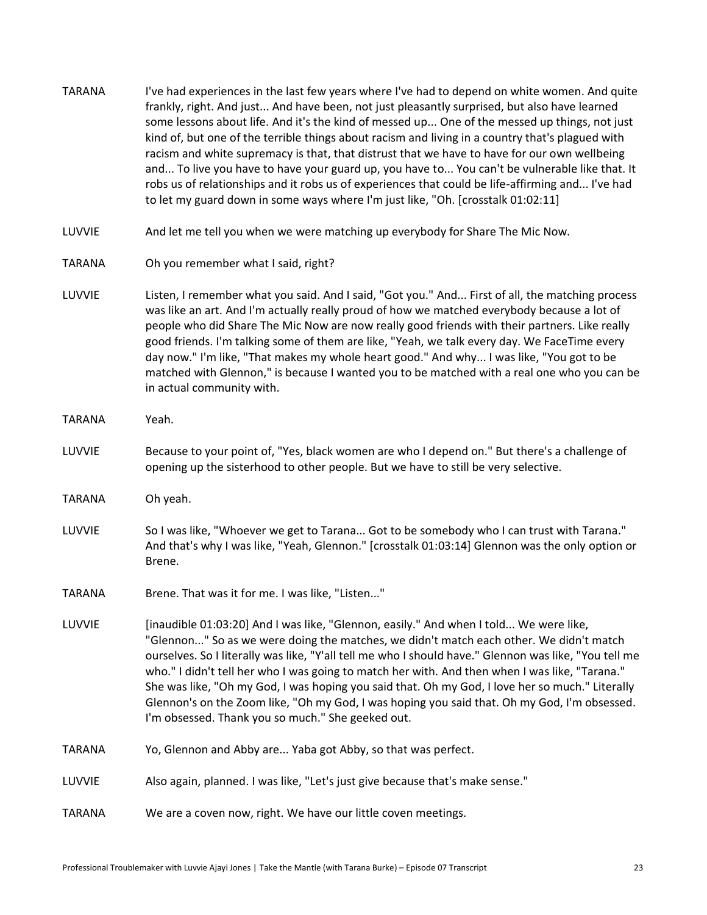| <b>TARANA</b> | I've had experiences in the last few years where I've had to depend on white women. And quite<br>frankly, right. And just And have been, not just pleasantly surprised, but also have learned<br>some lessons about life. And it's the kind of messed up One of the messed up things, not just<br>kind of, but one of the terrible things about racism and living in a country that's plagued with<br>racism and white supremacy is that, that distrust that we have to have for our own wellbeing<br>and To live you have to have your guard up, you have to You can't be vulnerable like that. It<br>robs us of relationships and it robs us of experiences that could be life-affirming and I've had<br>to let my guard down in some ways where I'm just like, "Oh. [crosstalk 01:02:11] |
|---------------|---------------------------------------------------------------------------------------------------------------------------------------------------------------------------------------------------------------------------------------------------------------------------------------------------------------------------------------------------------------------------------------------------------------------------------------------------------------------------------------------------------------------------------------------------------------------------------------------------------------------------------------------------------------------------------------------------------------------------------------------------------------------------------------------|
| LUVVIE        | And let me tell you when we were matching up everybody for Share The Mic Now.                                                                                                                                                                                                                                                                                                                                                                                                                                                                                                                                                                                                                                                                                                               |
| <b>TARANA</b> | Oh you remember what I said, right?                                                                                                                                                                                                                                                                                                                                                                                                                                                                                                                                                                                                                                                                                                                                                         |
| LUVVIE        | Listen, I remember what you said. And I said, "Got you." And First of all, the matching process<br>was like an art. And I'm actually really proud of how we matched everybody because a lot of<br>people who did Share The Mic Now are now really good friends with their partners. Like really<br>good friends. I'm talking some of them are like, "Yeah, we talk every day. We FaceTime every<br>day now." I'm like, "That makes my whole heart good." And why I was like, "You got to be<br>matched with Glennon," is because I wanted you to be matched with a real one who you can be<br>in actual community with.                                                                                                                                                                     |
| <b>TARANA</b> | Yeah.                                                                                                                                                                                                                                                                                                                                                                                                                                                                                                                                                                                                                                                                                                                                                                                       |
| LUVVIE        | Because to your point of, "Yes, black women are who I depend on." But there's a challenge of<br>opening up the sisterhood to other people. But we have to still be very selective.                                                                                                                                                                                                                                                                                                                                                                                                                                                                                                                                                                                                          |
| <b>TARANA</b> | Oh yeah.                                                                                                                                                                                                                                                                                                                                                                                                                                                                                                                                                                                                                                                                                                                                                                                    |
| LUVVIE        | So I was like, "Whoever we get to Tarana Got to be somebody who I can trust with Tarana."<br>And that's why I was like, "Yeah, Glennon." [crosstalk 01:03:14] Glennon was the only option or<br>Brene.                                                                                                                                                                                                                                                                                                                                                                                                                                                                                                                                                                                      |
| <b>TARANA</b> | Brene. That was it for me. I was like, "Listen"                                                                                                                                                                                                                                                                                                                                                                                                                                                                                                                                                                                                                                                                                                                                             |
| LUVVIE        | [inaudible 01:03:20] And I was like, "Glennon, easily." And when I told We were like,<br>"Glennon" So as we were doing the matches, we didn't match each other. We didn't match<br>ourselves. So I literally was like, "Y'all tell me who I should have." Glennon was like, "You tell me<br>who." I didn't tell her who I was going to match her with. And then when I was like, "Tarana."<br>She was like, "Oh my God, I was hoping you said that. Oh my God, I love her so much." Literally<br>Glennon's on the Zoom like, "Oh my God, I was hoping you said that. Oh my God, I'm obsessed.<br>I'm obsessed. Thank you so much." She geeked out.                                                                                                                                          |
| <b>TARANA</b> | Yo, Glennon and Abby are Yaba got Abby, so that was perfect.                                                                                                                                                                                                                                                                                                                                                                                                                                                                                                                                                                                                                                                                                                                                |
| LUVVIE        | Also again, planned. I was like, "Let's just give because that's make sense."                                                                                                                                                                                                                                                                                                                                                                                                                                                                                                                                                                                                                                                                                                               |
| <b>TARANA</b> | We are a coven now, right. We have our little coven meetings.                                                                                                                                                                                                                                                                                                                                                                                                                                                                                                                                                                                                                                                                                                                               |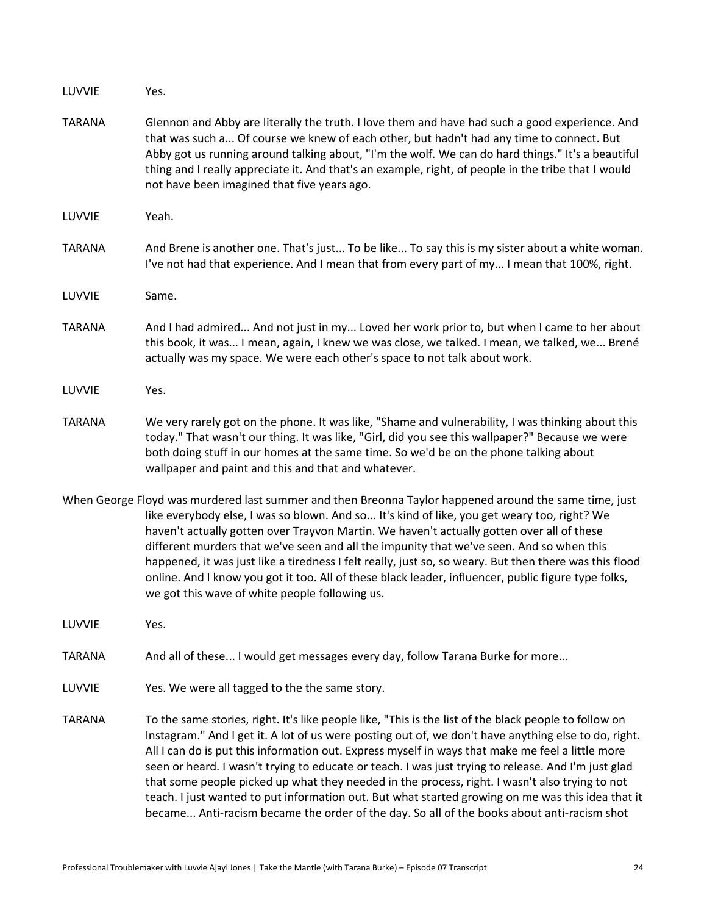| LUVVIE                                                                                                                                                                                                                                                                                                                                                                                                                                                                                                                                                                                                                                                            | Yes.                                                                                                                                                                                                                                                                                                                                                                                                                                                                                                                                                                                                                                                                                                                          |
|-------------------------------------------------------------------------------------------------------------------------------------------------------------------------------------------------------------------------------------------------------------------------------------------------------------------------------------------------------------------------------------------------------------------------------------------------------------------------------------------------------------------------------------------------------------------------------------------------------------------------------------------------------------------|-------------------------------------------------------------------------------------------------------------------------------------------------------------------------------------------------------------------------------------------------------------------------------------------------------------------------------------------------------------------------------------------------------------------------------------------------------------------------------------------------------------------------------------------------------------------------------------------------------------------------------------------------------------------------------------------------------------------------------|
| <b>TARANA</b>                                                                                                                                                                                                                                                                                                                                                                                                                                                                                                                                                                                                                                                     | Glennon and Abby are literally the truth. I love them and have had such a good experience. And<br>that was such a Of course we knew of each other, but hadn't had any time to connect. But<br>Abby got us running around talking about, "I'm the wolf. We can do hard things." It's a beautiful<br>thing and I really appreciate it. And that's an example, right, of people in the tribe that I would<br>not have been imagined that five years ago.                                                                                                                                                                                                                                                                         |
| LUVVIE                                                                                                                                                                                                                                                                                                                                                                                                                                                                                                                                                                                                                                                            | Yeah.                                                                                                                                                                                                                                                                                                                                                                                                                                                                                                                                                                                                                                                                                                                         |
| <b>TARANA</b>                                                                                                                                                                                                                                                                                                                                                                                                                                                                                                                                                                                                                                                     | And Brene is another one. That's just To be like To say this is my sister about a white woman.<br>I've not had that experience. And I mean that from every part of my I mean that 100%, right.                                                                                                                                                                                                                                                                                                                                                                                                                                                                                                                                |
| LUVVIE                                                                                                                                                                                                                                                                                                                                                                                                                                                                                                                                                                                                                                                            | Same.                                                                                                                                                                                                                                                                                                                                                                                                                                                                                                                                                                                                                                                                                                                         |
| <b>TARANA</b>                                                                                                                                                                                                                                                                                                                                                                                                                                                                                                                                                                                                                                                     | And I had admired And not just in my Loved her work prior to, but when I came to her about<br>this book, it was I mean, again, I knew we was close, we talked. I mean, we talked, we Brené<br>actually was my space. We were each other's space to not talk about work.                                                                                                                                                                                                                                                                                                                                                                                                                                                       |
| LUVVIE                                                                                                                                                                                                                                                                                                                                                                                                                                                                                                                                                                                                                                                            | Yes.                                                                                                                                                                                                                                                                                                                                                                                                                                                                                                                                                                                                                                                                                                                          |
| <b>TARANA</b>                                                                                                                                                                                                                                                                                                                                                                                                                                                                                                                                                                                                                                                     | We very rarely got on the phone. It was like, "Shame and vulnerability, I was thinking about this<br>today." That wasn't our thing. It was like, "Girl, did you see this wallpaper?" Because we were<br>both doing stuff in our homes at the same time. So we'd be on the phone talking about<br>wallpaper and paint and this and that and whatever.                                                                                                                                                                                                                                                                                                                                                                          |
| When George Floyd was murdered last summer and then Breonna Taylor happened around the same time, just<br>like everybody else, I was so blown. And so It's kind of like, you get weary too, right? We<br>haven't actually gotten over Trayvon Martin. We haven't actually gotten over all of these<br>different murders that we've seen and all the impunity that we've seen. And so when this<br>happened, it was just like a tiredness I felt really, just so, so weary. But then there was this flood<br>online. And I know you got it too. All of these black leader, influencer, public figure type folks,<br>we got this wave of white people following us. |                                                                                                                                                                                                                                                                                                                                                                                                                                                                                                                                                                                                                                                                                                                               |
| LUVVIE                                                                                                                                                                                                                                                                                                                                                                                                                                                                                                                                                                                                                                                            | Yes.                                                                                                                                                                                                                                                                                                                                                                                                                                                                                                                                                                                                                                                                                                                          |
| <b>TARANA</b>                                                                                                                                                                                                                                                                                                                                                                                                                                                                                                                                                                                                                                                     | And all of these I would get messages every day, follow Tarana Burke for more                                                                                                                                                                                                                                                                                                                                                                                                                                                                                                                                                                                                                                                 |
| LUVVIE                                                                                                                                                                                                                                                                                                                                                                                                                                                                                                                                                                                                                                                            | Yes. We were all tagged to the the same story.                                                                                                                                                                                                                                                                                                                                                                                                                                                                                                                                                                                                                                                                                |
| <b>TARANA</b>                                                                                                                                                                                                                                                                                                                                                                                                                                                                                                                                                                                                                                                     | To the same stories, right. It's like people like, "This is the list of the black people to follow on<br>Instagram." And I get it. A lot of us were posting out of, we don't have anything else to do, right.<br>All I can do is put this information out. Express myself in ways that make me feel a little more<br>seen or heard. I wasn't trying to educate or teach. I was just trying to release. And I'm just glad<br>that some people picked up what they needed in the process, right. I wasn't also trying to not<br>teach. I just wanted to put information out. But what started growing on me was this idea that it<br>became Anti-racism became the order of the day. So all of the books about anti-racism shot |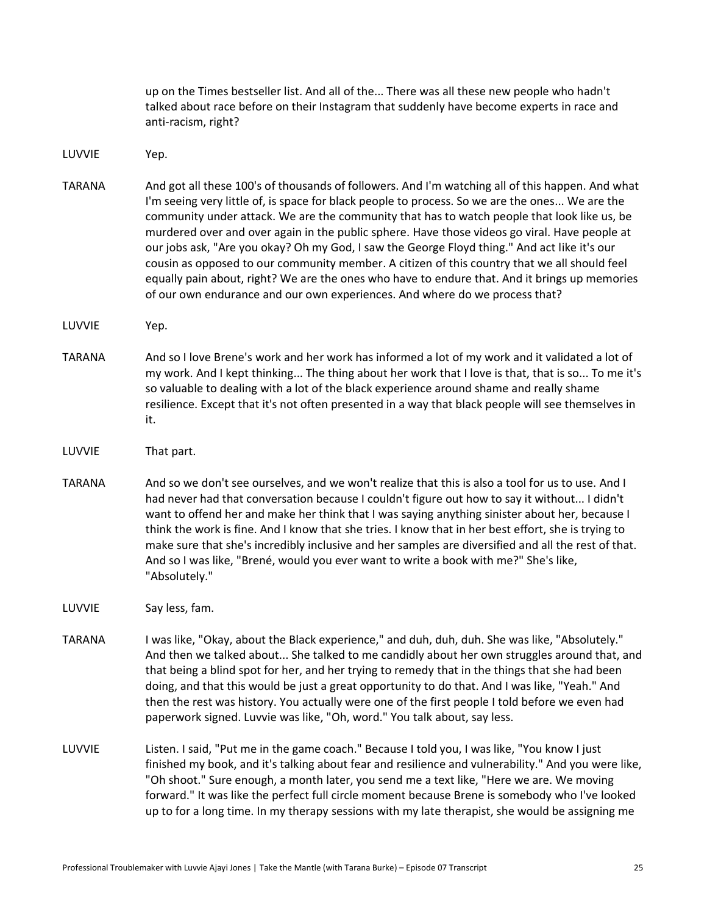up on the Times bestseller list. And all of the... There was all these new people who hadn't talked about race before on their Instagram that suddenly have become experts in race and anti-racism, right?

LUVVIE Yep.

- TARANA And got all these 100's of thousands of followers. And I'm watching all of this happen. And what I'm seeing very little of, is space for black people to process. So we are the ones... We are the community under attack. We are the community that has to watch people that look like us, be murdered over and over again in the public sphere. Have those videos go viral. Have people at our jobs ask, "Are you okay? Oh my God, I saw the George Floyd thing." And act like it's our cousin as opposed to our community member. A citizen of this country that we all should feel equally pain about, right? We are the ones who have to endure that. And it brings up memories of our own endurance and our own experiences. And where do we process that?
- LUVVIE Yep.
- TARANA And so I love Brene's work and her work has informed a lot of my work and it validated a lot of my work. And I kept thinking... The thing about her work that I love is that, that is so... To me it's so valuable to dealing with a lot of the black experience around shame and really shame resilience. Except that it's not often presented in a way that black people will see themselves in it.
- LUVVIE That part.
- TARANA And so we don't see ourselves, and we won't realize that this is also a tool for us to use. And I had never had that conversation because I couldn't figure out how to say it without... I didn't want to offend her and make her think that I was saying anything sinister about her, because I think the work is fine. And I know that she tries. I know that in her best effort, she is trying to make sure that she's incredibly inclusive and her samples are diversified and all the rest of that. And so I was like, "Brené, would you ever want to write a book with me?" She's like, "Absolutely."

LUVVIE Say less, fam.

- TARANA I was like, "Okay, about the Black experience," and duh, duh, duh. She was like, "Absolutely." And then we talked about... She talked to me candidly about her own struggles around that, and that being a blind spot for her, and her trying to remedy that in the things that she had been doing, and that this would be just a great opportunity to do that. And I was like, "Yeah." And then the rest was history. You actually were one of the first people I told before we even had paperwork signed. Luvvie was like, "Oh, word." You talk about, say less.
- LUVVIE Listen. I said, "Put me in the game coach." Because I told you, I was like, "You know I just finished my book, and it's talking about fear and resilience and vulnerability." And you were like, "Oh shoot." Sure enough, a month later, you send me a text like, "Here we are. We moving forward." It was like the perfect full circle moment because Brene is somebody who I've looked up to for a long time. In my therapy sessions with my late therapist, she would be assigning me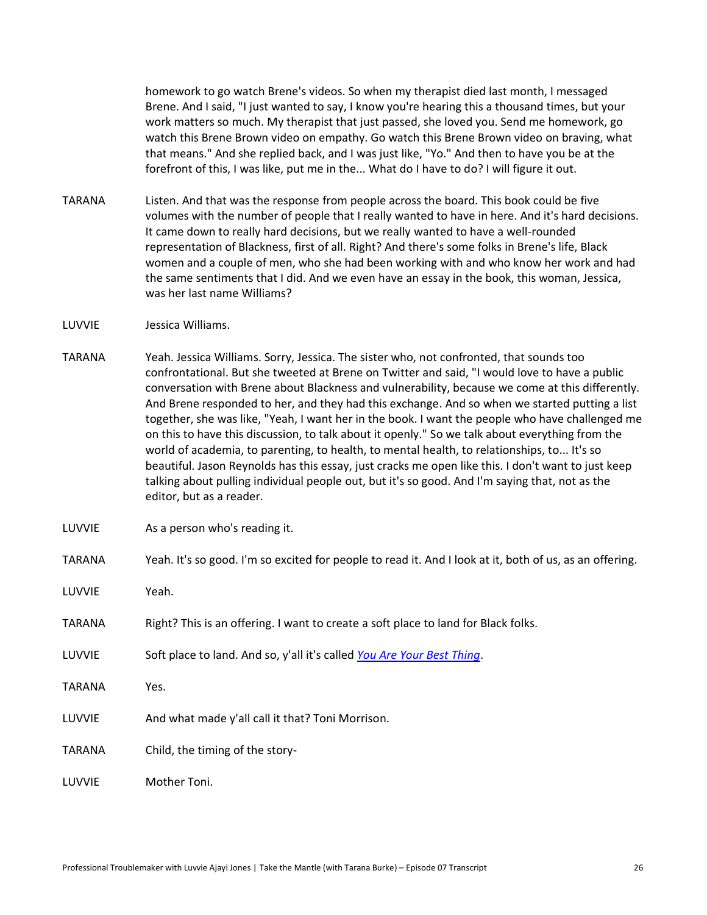homework to go watch Brene's videos. So when my therapist died last month, I messaged Brene. And I said, "I just wanted to say, I know you're hearing this a thousand times, but your work matters so much. My therapist that just passed, she loved you. Send me homework, go watch this Brene Brown video on empathy. Go watch this Brene Brown video on braving, what that means." And she replied back, and I was just like, "Yo." And then to have you be at the forefront of this, I was like, put me in the... What do I have to do? I will figure it out.

- TARANA Listen. And that was the response from people across the board. This book could be five volumes with the number of people that I really wanted to have in here. And it's hard decisions. It came down to really hard decisions, but we really wanted to have a well-rounded representation of Blackness, first of all. Right? And there's some folks in Brene's life, Black women and a couple of men, who she had been working with and who know her work and had the same sentiments that I did. And we even have an essay in the book, this woman, Jessica, was her last name Williams?
- LUVVIE Jessica Williams.
- TARANA Yeah. Jessica Williams. Sorry, Jessica. The sister who, not confronted, that sounds too confrontational. But she tweeted at Brene on Twitter and said, "I would love to have a public conversation with Brene about Blackness and vulnerability, because we come at this differently. And Brene responded to her, and they had this exchange. And so when we started putting a list together, she was like, "Yeah, I want her in the book. I want the people who have challenged me on this to have this discussion, to talk about it openly." So we talk about everything from the world of academia, to parenting, to health, to mental health, to relationships, to... It's so beautiful. Jason Reynolds has this essay, just cracks me open like this. I don't want to just keep talking about pulling individual people out, but it's so good. And I'm saying that, not as the editor, but as a reader.
- LUVVIE As a person who's reading it.
- TARANA Yeah. It's so good. I'm so excited for people to read it. And I look at it, both of us, as an offering.
- LUVVIE Yeah.
- TARANA Right? This is an offering. I want to create a soft place to land for Black folks.
- LUVVIE Soft place to land. And so, y'all it's called *[You Are Your Best Thing](https://amzn.to/3u3UsYE)*.
- TARANA Yes.
- LUVVIE And what made y'all call it that? Toni Morrison.
- TARANA Child, the timing of the story-

LUVVIE Mother Toni.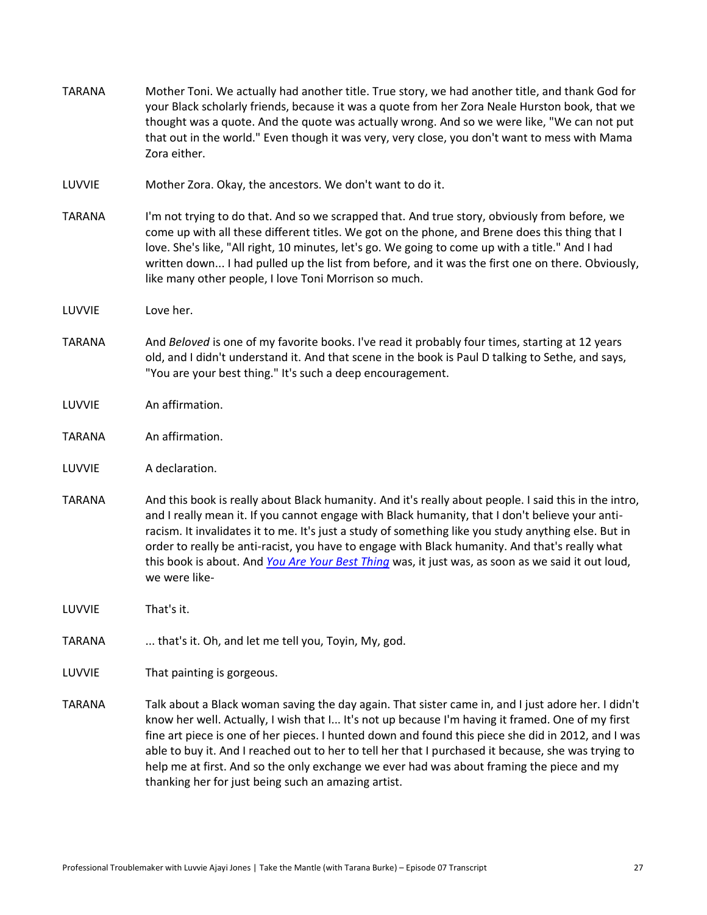| <b>TARANA</b> | Mother Toni. We actually had another title. True story, we had another title, and thank God for<br>your Black scholarly friends, because it was a quote from her Zora Neale Hurston book, that we<br>thought was a quote. And the quote was actually wrong. And so we were like, "We can not put<br>that out in the world." Even though it was very, very close, you don't want to mess with Mama<br>Zora either.                                                                                                                                                       |
|---------------|-------------------------------------------------------------------------------------------------------------------------------------------------------------------------------------------------------------------------------------------------------------------------------------------------------------------------------------------------------------------------------------------------------------------------------------------------------------------------------------------------------------------------------------------------------------------------|
| LUVVIE        | Mother Zora. Okay, the ancestors. We don't want to do it.                                                                                                                                                                                                                                                                                                                                                                                                                                                                                                               |
| <b>TARANA</b> | I'm not trying to do that. And so we scrapped that. And true story, obviously from before, we<br>come up with all these different titles. We got on the phone, and Brene does this thing that I<br>love. She's like, "All right, 10 minutes, let's go. We going to come up with a title." And I had<br>written down I had pulled up the list from before, and it was the first one on there. Obviously,<br>like many other people, I love Toni Morrison so much.                                                                                                        |
| LUVVIE        | Love her.                                                                                                                                                                                                                                                                                                                                                                                                                                                                                                                                                               |
| <b>TARANA</b> | And Beloved is one of my favorite books. I've read it probably four times, starting at 12 years<br>old, and I didn't understand it. And that scene in the book is Paul D talking to Sethe, and says,<br>"You are your best thing." It's such a deep encouragement.                                                                                                                                                                                                                                                                                                      |
| LUVVIE        | An affirmation.                                                                                                                                                                                                                                                                                                                                                                                                                                                                                                                                                         |
| <b>TARANA</b> | An affirmation.                                                                                                                                                                                                                                                                                                                                                                                                                                                                                                                                                         |
| LUVVIE        | A declaration.                                                                                                                                                                                                                                                                                                                                                                                                                                                                                                                                                          |
| <b>TARANA</b> | And this book is really about Black humanity. And it's really about people. I said this in the intro,<br>and I really mean it. If you cannot engage with Black humanity, that I don't believe your anti-<br>racism. It invalidates it to me. It's just a study of something like you study anything else. But in<br>order to really be anti-racist, you have to engage with Black humanity. And that's really what<br>this book is about. And You Are Your Best Thing was, it just was, as soon as we said it out loud,<br>we were like-                                |
| LUVVIE        | That's it.                                                                                                                                                                                                                                                                                                                                                                                                                                                                                                                                                              |
| <b>TARANA</b> | that's it. Oh, and let me tell you, Toyin, My, god.                                                                                                                                                                                                                                                                                                                                                                                                                                                                                                                     |
| LUVVIE        | That painting is gorgeous.                                                                                                                                                                                                                                                                                                                                                                                                                                                                                                                                              |
| <b>TARANA</b> | Talk about a Black woman saving the day again. That sister came in, and I just adore her. I didn't<br>know her well. Actually, I wish that I It's not up because I'm having it framed. One of my first<br>fine art piece is one of her pieces. I hunted down and found this piece she did in 2012, and I was<br>able to buy it. And I reached out to her to tell her that I purchased it because, she was trying to<br>help me at first. And so the only exchange we ever had was about framing the piece and my<br>thanking her for just being such an amazing artist. |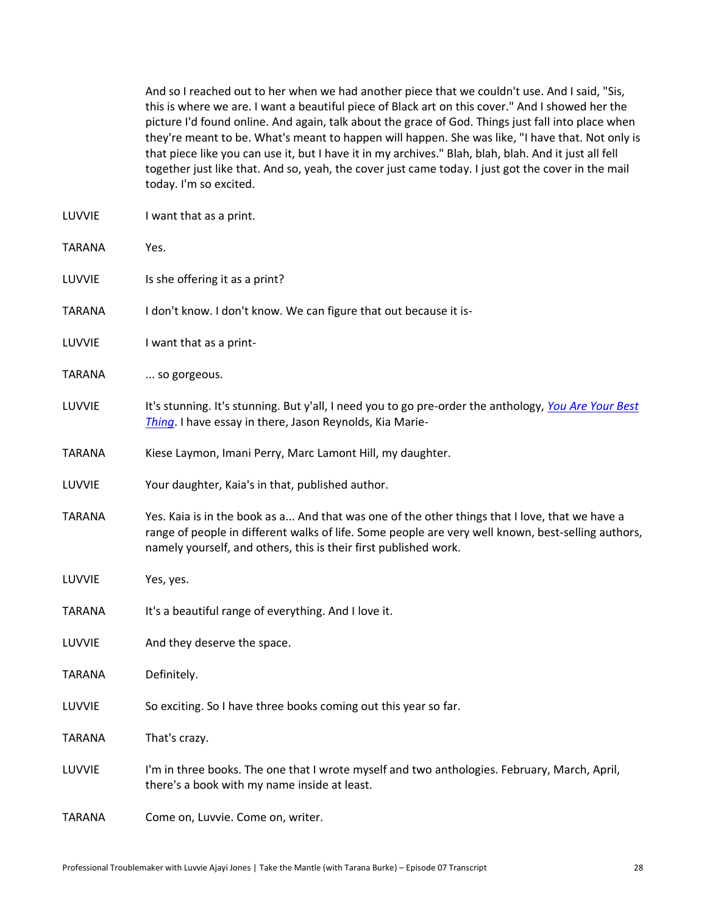And so I reached out to her when we had another piece that we couldn't use. And I said, "Sis, this is where we are. I want a beautiful piece of Black art on this cover." And I showed her the picture I'd found online. And again, talk about the grace of God. Things just fall into place when they're meant to be. What's meant to happen will happen. She was like, "I have that. Not only is that piece like you can use it, but I have it in my archives." Blah, blah, blah. And it just all fell together just like that. And so, yeah, the cover just came today. I just got the cover in the mail today. I'm so excited.

- LUVVIE I want that as a print. TARANA Yes. LUVVIE Is she offering it as a print? TARANA I don't know. I don't know. We can figure that out because it is-LUVVIE I want that as a print-TARANA ... so gorgeous. LUVVIE It's stunning. It's stunning. But y'all, I need you to go pre-order the anthology, *[You Are Your Best](https://amzn.to/3u3UsYE)  [Thing](https://amzn.to/3u3UsYE)*. I have essay in there, Jason Reynolds, Kia Marie-TARANA Kiese Laymon, Imani Perry, Marc Lamont Hill, my daughter. LUVVIE Your daughter, Kaia's in that, published author. TARANA Yes. Kaia is in the book as a... And that was one of the other things that I love, that we have a range of people in different walks of life. Some people are very well known, best-selling authors, namely yourself, and others, this is their first published work. LUVVIE Yes, yes. TARANA It's a beautiful range of everything. And I love it.
- LUVVIE And they deserve the space.
- TARANA Definitely.
- LUVVIE So exciting. So I have three books coming out this year so far.
- TARANA That's crazy.
- LUVVIE I'm in three books. The one that I wrote myself and two anthologies. February, March, April, there's a book with my name inside at least.
- TARANA Come on, Luvvie. Come on, writer.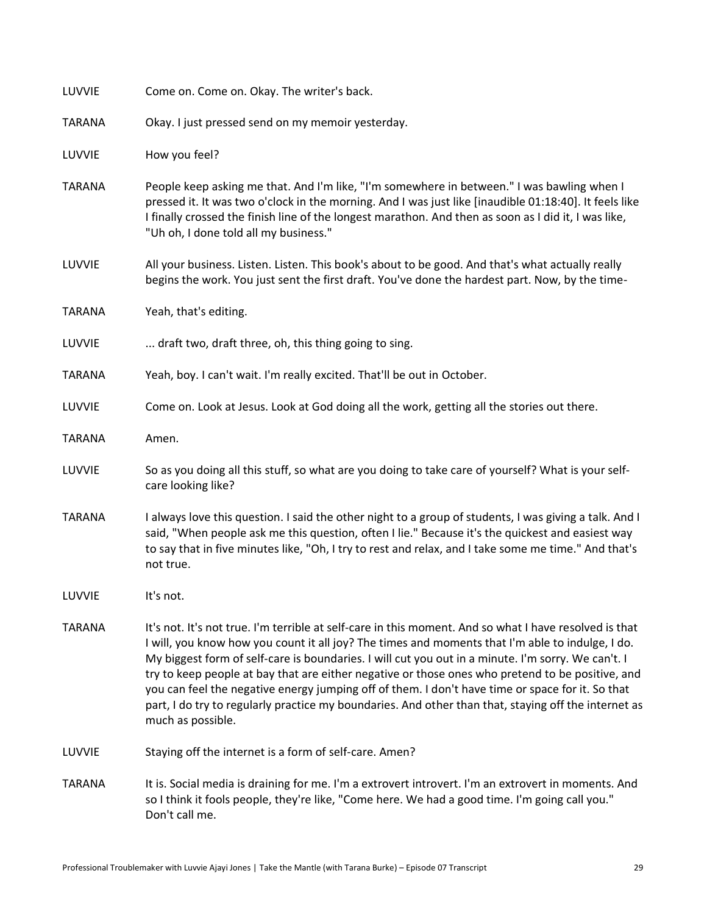| LUVVIE        | Come on. Come on. Okay. The writer's back.                                                                                                                                                                                                                                                                                                                                                                                                                                                                                                                                                                                                            |
|---------------|-------------------------------------------------------------------------------------------------------------------------------------------------------------------------------------------------------------------------------------------------------------------------------------------------------------------------------------------------------------------------------------------------------------------------------------------------------------------------------------------------------------------------------------------------------------------------------------------------------------------------------------------------------|
| <b>TARANA</b> | Okay. I just pressed send on my memoir yesterday.                                                                                                                                                                                                                                                                                                                                                                                                                                                                                                                                                                                                     |
| LUVVIE        | How you feel?                                                                                                                                                                                                                                                                                                                                                                                                                                                                                                                                                                                                                                         |
| <b>TARANA</b> | People keep asking me that. And I'm like, "I'm somewhere in between." I was bawling when I<br>pressed it. It was two o'clock in the morning. And I was just like [inaudible 01:18:40]. It feels like<br>I finally crossed the finish line of the longest marathon. And then as soon as I did it, I was like,<br>"Uh oh, I done told all my business."                                                                                                                                                                                                                                                                                                 |
| LUVVIE        | All your business. Listen. Listen. This book's about to be good. And that's what actually really<br>begins the work. You just sent the first draft. You've done the hardest part. Now, by the time-                                                                                                                                                                                                                                                                                                                                                                                                                                                   |
| <b>TARANA</b> | Yeah, that's editing.                                                                                                                                                                                                                                                                                                                                                                                                                                                                                                                                                                                                                                 |
| LUVVIE        | draft two, draft three, oh, this thing going to sing.                                                                                                                                                                                                                                                                                                                                                                                                                                                                                                                                                                                                 |
| <b>TARANA</b> | Yeah, boy. I can't wait. I'm really excited. That'll be out in October.                                                                                                                                                                                                                                                                                                                                                                                                                                                                                                                                                                               |
| LUVVIE        | Come on. Look at Jesus. Look at God doing all the work, getting all the stories out there.                                                                                                                                                                                                                                                                                                                                                                                                                                                                                                                                                            |
| <b>TARANA</b> | Amen.                                                                                                                                                                                                                                                                                                                                                                                                                                                                                                                                                                                                                                                 |
| LUVVIE        | So as you doing all this stuff, so what are you doing to take care of yourself? What is your self-<br>care looking like?                                                                                                                                                                                                                                                                                                                                                                                                                                                                                                                              |
| <b>TARANA</b> | I always love this question. I said the other night to a group of students, I was giving a talk. And I<br>said, "When people ask me this question, often I lie." Because it's the quickest and easiest way<br>to say that in five minutes like, "Oh, I try to rest and relax, and I take some me time." And that's<br>not true.                                                                                                                                                                                                                                                                                                                       |
| LUVVIE        | It's not.                                                                                                                                                                                                                                                                                                                                                                                                                                                                                                                                                                                                                                             |
| <b>TARANA</b> | It's not. It's not true. I'm terrible at self-care in this moment. And so what I have resolved is that<br>I will, you know how you count it all joy? The times and moments that I'm able to indulge, I do.<br>My biggest form of self-care is boundaries. I will cut you out in a minute. I'm sorry. We can't. I<br>try to keep people at bay that are either negative or those ones who pretend to be positive, and<br>you can feel the negative energy jumping off of them. I don't have time or space for it. So that<br>part, I do try to regularly practice my boundaries. And other than that, staying off the internet as<br>much as possible. |
| LUVVIE        | Staying off the internet is a form of self-care. Amen?                                                                                                                                                                                                                                                                                                                                                                                                                                                                                                                                                                                                |
| <b>TARANA</b> | It is. Social media is draining for me. I'm a extrovert introvert. I'm an extrovert in moments. And<br>so I think it fools people, they're like, "Come here. We had a good time. I'm going call you."<br>Don't call me.                                                                                                                                                                                                                                                                                                                                                                                                                               |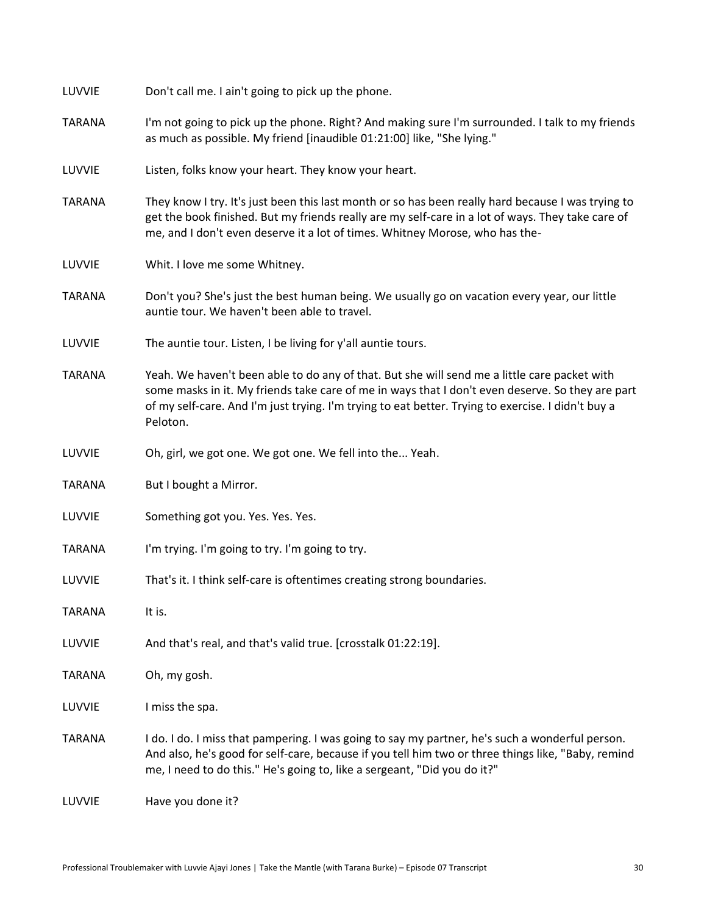| LUVVIE        | Don't call me. I ain't going to pick up the phone.                                                                                                                                                                                                                                                                 |
|---------------|--------------------------------------------------------------------------------------------------------------------------------------------------------------------------------------------------------------------------------------------------------------------------------------------------------------------|
| <b>TARANA</b> | I'm not going to pick up the phone. Right? And making sure I'm surrounded. I talk to my friends<br>as much as possible. My friend [inaudible 01:21:00] like, "She lying."                                                                                                                                          |
| LUVVIE        | Listen, folks know your heart. They know your heart.                                                                                                                                                                                                                                                               |
| <b>TARANA</b> | They know I try. It's just been this last month or so has been really hard because I was trying to<br>get the book finished. But my friends really are my self-care in a lot of ways. They take care of<br>me, and I don't even deserve it a lot of times. Whitney Morose, who has the-                            |
| LUVVIE        | Whit. I love me some Whitney.                                                                                                                                                                                                                                                                                      |
| <b>TARANA</b> | Don't you? She's just the best human being. We usually go on vacation every year, our little<br>auntie tour. We haven't been able to travel.                                                                                                                                                                       |
| LUVVIE        | The auntie tour. Listen, I be living for y'all auntie tours.                                                                                                                                                                                                                                                       |
| <b>TARANA</b> | Yeah. We haven't been able to do any of that. But she will send me a little care packet with<br>some masks in it. My friends take care of me in ways that I don't even deserve. So they are part<br>of my self-care. And I'm just trying. I'm trying to eat better. Trying to exercise. I didn't buy a<br>Peloton. |
| LUVVIE        | Oh, girl, we got one. We got one. We fell into the Yeah.                                                                                                                                                                                                                                                           |
| <b>TARANA</b> | But I bought a Mirror.                                                                                                                                                                                                                                                                                             |
| LUVVIE        | Something got you. Yes. Yes. Yes.                                                                                                                                                                                                                                                                                  |
| <b>TARANA</b> | I'm trying. I'm going to try. I'm going to try.                                                                                                                                                                                                                                                                    |
| LUVVIE        | That's it. I think self-care is oftentimes creating strong boundaries.                                                                                                                                                                                                                                             |
| <b>TARANA</b> | It is.                                                                                                                                                                                                                                                                                                             |
| LUVVIE        | And that's real, and that's valid true. [crosstalk 01:22:19].                                                                                                                                                                                                                                                      |
| <b>TARANA</b> | Oh, my gosh.                                                                                                                                                                                                                                                                                                       |
| LUVVIE        | I miss the spa.                                                                                                                                                                                                                                                                                                    |
| <b>TARANA</b> | I do. I do. I miss that pampering. I was going to say my partner, he's such a wonderful person.<br>And also, he's good for self-care, because if you tell him two or three things like, "Baby, remind<br>me, I need to do this." He's going to, like a sergeant, "Did you do it?"                                  |
| LUVVIE        | Have you done it?                                                                                                                                                                                                                                                                                                  |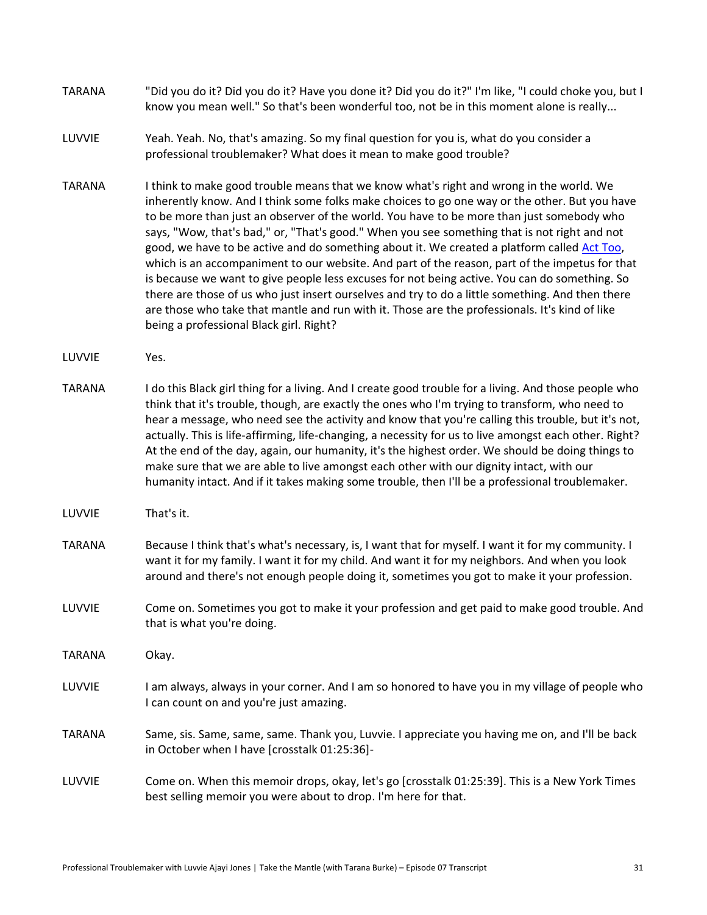| <b>TARANA</b> | "Did you do it? Did you do it? Have you done it? Did you do it?" I'm like, "I could choke you, but I |
|---------------|------------------------------------------------------------------------------------------------------|
|               | know you mean well." So that's been wonderful too, not be in this moment alone is really             |

- LUVVIE Yeah. Yeah. No, that's amazing. So my final question for you is, what do you consider a professional troublemaker? What does it mean to make good trouble?
- TARANA Ithink to make good trouble means that we know what's right and wrong in the world. We inherently know. And I think some folks make choices to go one way or the other. But you have to be more than just an observer of the world. You have to be more than just somebody who says, "Wow, that's bad," or, "That's good." When you see something that is not right and not good, we have to be active and do something about it. We created a platform called [Act Too,](https://acttoo.metoomvmt.org/)  which is an accompaniment to our website. And part of the reason, part of the impetus for that is because we want to give people less excuses for not being active. You can do something. So there are those of us who just insert ourselves and try to do a little something. And then there are those who take that mantle and run with it. Those are the professionals. It's kind of like being a professional Black girl. Right?
- LUVVIE Yes.
- TARANA I do this Black girl thing for a living. And I create good trouble for a living. And those people who think that it's trouble, though, are exactly the ones who I'm trying to transform, who need to hear a message, who need see the activity and know that you're calling this trouble, but it's not, actually. This is life-affirming, life-changing, a necessity for us to live amongst each other. Right? At the end of the day, again, our humanity, it's the highest order. We should be doing things to make sure that we are able to live amongst each other with our dignity intact, with our humanity intact. And if it takes making some trouble, then I'll be a professional troublemaker.
- LUVVIE That's it.
- TARANA Because I think that's what's necessary, is, I want that for myself. I want it for my community. I want it for my family. I want it for my child. And want it for my neighbors. And when you look around and there's not enough people doing it, sometimes you got to make it your profession.
- LUVVIE Come on. Sometimes you got to make it your profession and get paid to make good trouble. And that is what you're doing.
- TARANA Okay.
- LUVVIE I am always, always in your corner. And I am so honored to have you in my village of people who I can count on and you're just amazing.
- TARANA Same, sis. Same, same, same. Thank you, Luvvie. I appreciate you having me on, and I'll be back in October when I have [crosstalk 01:25:36]-
- LUVVIE Come on. When this memoir drops, okay, let's go [crosstalk 01:25:39]. This is a New York Times best selling memoir you were about to drop. I'm here for that.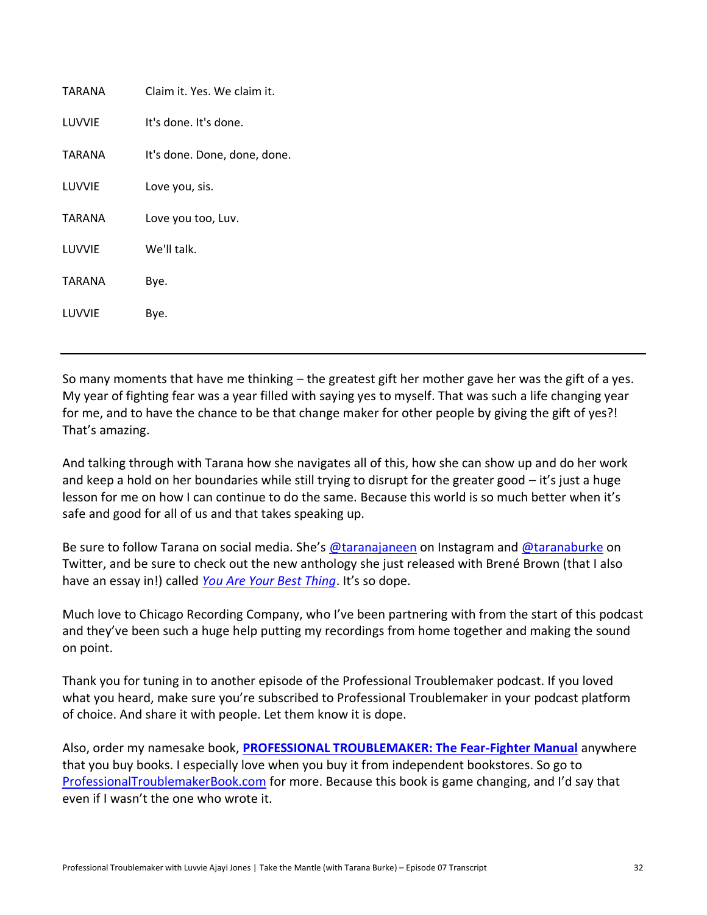| TARANA | Claim it. Yes. We claim it.  |
|--------|------------------------------|
| LUVVIE | It's done. It's done.        |
| TARANA | It's done. Done, done, done. |
| LUVVIE | Love you, sis.               |
| TARANA | Love you too, Luv.           |
| LUVVIE | We'll talk.                  |
| TARANA | Bye.                         |
| LUVVIE | Bye.                         |
|        |                              |

So many moments that have me thinking – the greatest gift her mother gave her was the gift of a yes. My year of fighting fear was a year filled with saying yes to myself. That was such a life changing year for me, and to have the chance to be that change maker for other people by giving the gift of yes?! That's amazing.

And talking through with Tarana how she navigates all of this, how she can show up and do her work and keep a hold on her boundaries while still trying to disrupt for the greater good  $-$  it's just a huge lesson for me on how I can continue to do the same. Because this world is so much better when it's safe and good for all of us and that takes speaking up.

Be sure to follow Tarana on social media. She's [@taranajaneen](https://www.instagram.com/taranajaneen/) on Instagram an[d @taranaburke](https://twitter.com/taranaburke) on Twitter, and be sure to check out the new anthology she just released with Brené Brown (that I also have an essay in!) called *[You Are Your Best Thing](https://amzn.to/3u3UsYE)*. It's so dope.

Much love to Chicago Recording Company, who I've been partnering with from the start of this podcast and they've been such a huge help putting my recordings from home together and making the sound on point.

Thank you for tuning in to another episode of the Professional Troublemaker podcast. If you loved what you heard, make sure you're subscribed to Professional Troublemaker in your podcast platform of choice. And share it with people. Let them know it is dope.

Also, order my namesake book, **[PROFESSIONAL TROUBLEMAKER: The Fear-Fighter Manual](http://professionaltroublemakerbook.com/)** anywhere that you buy books. I especially love when you buy it from independent bookstores. So go to [ProfessionalTroublemakerBook.com](http://professionaltroublemakerbook.com/) for more. Because this book is game changing, and I'd say that even if I wasn't the one who wrote it.